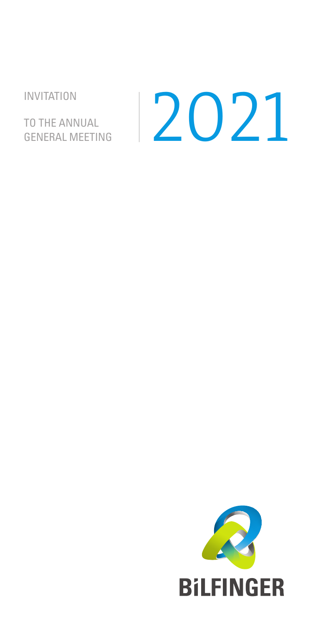INVITATION

TO THE ANNUAL

# TO THE ANNUAL<br>GENERAL MEETING 2021

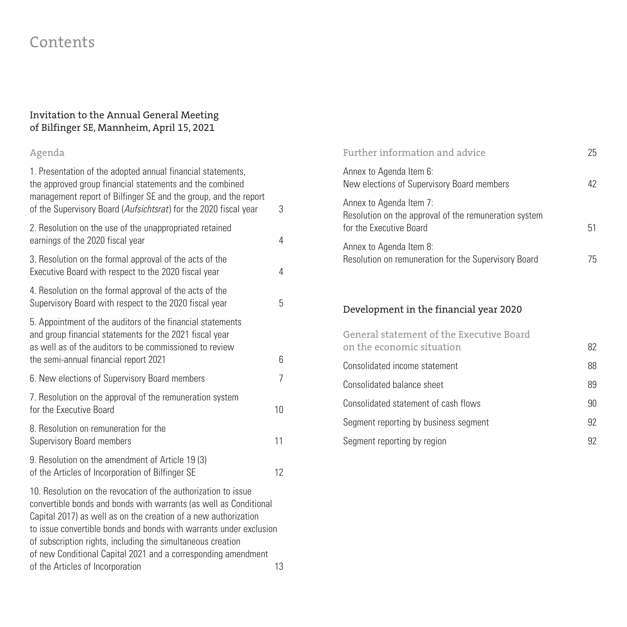# Contents

#### Invitation to the Annual General Meeting of Bilfinger SE, Mannheim, April 15, 2021

## Agenda

| 1. Presentation of the adopted annual financial statements,<br>the approved group financial statements and the combined<br>management report of Bilfinger SE and the group, and the report<br>of the Supervisory Board (Aufsichtsrat) for the 2020 fiscal year | 3  |
|----------------------------------------------------------------------------------------------------------------------------------------------------------------------------------------------------------------------------------------------------------------|----|
| 2. Resolution on the use of the unappropriated retained<br>earnings of the 2020 fiscal year                                                                                                                                                                    | 4  |
| 3. Resolution on the formal approval of the acts of the<br>Executive Board with respect to the 2020 fiscal year                                                                                                                                                | 4  |
| 4. Resolution on the formal approval of the acts of the<br>Supervisory Board with respect to the 2020 fiscal year                                                                                                                                              | 5  |
| 5. Appointment of the auditors of the financial statements<br>and group financial statements for the 2021 fiscal year<br>as well as of the auditors to be commissioned to review<br>the semi-annual financial report 2021                                      | 6  |
| 6. New elections of Supervisory Board members                                                                                                                                                                                                                  | 7  |
| 7. Resolution on the approval of the remuneration system<br>for the Executive Board                                                                                                                                                                            | 10 |
| 8. Resolution on remuneration for the<br><b>Supervisory Board members</b>                                                                                                                                                                                      | 11 |
| 9. Resolution on the amendment of Article 19 (3)<br>of the Articles of Incorporation of Bilfinger SE                                                                                                                                                           | 12 |

10. Resolution on the revocation of the authorization to issue convertible bonds and bonds with warrants (as well as Conditional Capital 2017) as well as on the creation of a new authorization to issue convertible bonds and bonds with warrants under exclusion of subscription rights, including the simultaneous creation of new Conditional Capital 2021 and a corresponding amendment of the Articles of Incorporation 13

| Further information and advice                                                                              | 25 |
|-------------------------------------------------------------------------------------------------------------|----|
| Annex to Agenda Item 6:<br>New elections of Supervisory Board members                                       | 42 |
| Annex to Agenda Item 7:<br>Resolution on the approval of the remuneration system<br>for the Executive Board | 51 |
| Annex to Agenda Item 8:<br>Resolution on remuneration for the Supervisory Board                             | 75 |
| Development in the financial year 2020                                                                      |    |
| General statement of the Executive Board<br>on the economic situation                                       | 82 |

| on the economic situation             | 82 |
|---------------------------------------|----|
| Consolidated income statement         | 88 |
| Consolidated balance sheet            | 89 |
| Consolidated statement of cash flows  | 90 |
| Segment reporting by business segment | 92 |
| Segment reporting by region           | 92 |
|                                       |    |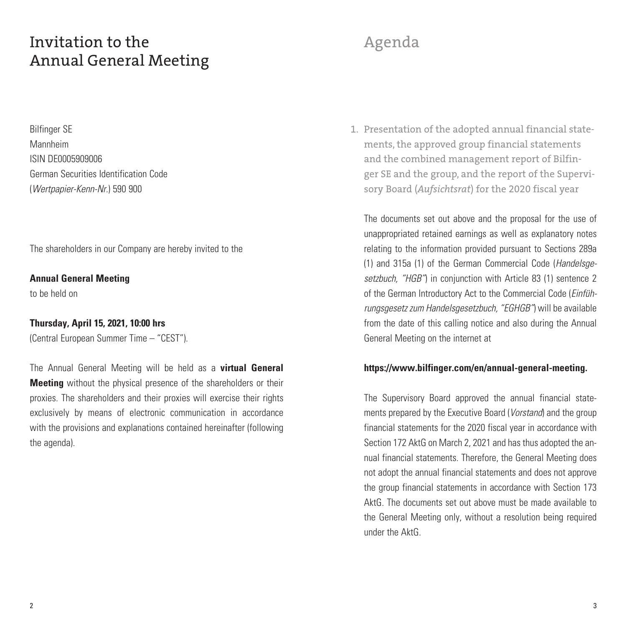# Invitation to the Annual General Meeting

Bilfinger SE Mannheim ISIN DE0005909006 German Securities Identification Code (*Wertpapier-Kenn-Nr.*) 590 900

The shareholders in our Company are hereby invited to the

**Annual General Meeting** 

to be held on

#### **Thursday, April 15, 2021, 10:00 hrs**

(Central European Summer Time – "CEST").

The Annual General Meeting will be held as a **virtual General Meeting** without the physical presence of the shareholders or their proxies. The shareholders and their proxies will exercise their rights exclusively by means of electronic communication in accordance with the provisions and explanations contained hereinafter (following the agenda).

# Agenda

Presentation of the adopted annual financial state-1. ments, the approved group financial statements and the combined management report of Bilfinger SE and the group, and the report of the Supervisory Board (*Aufsichtsrat*) for the 2020 fiscal year

The documents set out above and the proposal for the use of unappropriated retained earnings as well as explanatory notes relating to the information provided pursuant to Sections 289a (1) and 315a (1) of the German Commercial Code (*Handelsgesetzbuch, "HGB"*) in conjunction with Article 83 (1) sentence 2 of the German Introductory Act to the Commercial Code (*Einführungsgesetz zum Handelsgesetzbuch, "EGHGB"*) will be available from the date of this calling notice and also during the Annual General Meeting on the internet at

#### **https://www.bilfinger.com/en/annual-general-meeting.**

The Supervisory Board approved the annual financial statements prepared by the Executive Board (*Vorstand*) and the group financial statements for the 2020 fiscal year in accordance with Section 172 AktG on March 2, 2021 and has thus adopted the annual financial statements. Therefore, the General Meeting does not adopt the annual financial statements and does not approve the group financial statements in accordance with Section 173 AktG. The documents set out above must be made available to the General Meeting only, without a resolution being required under the AktG.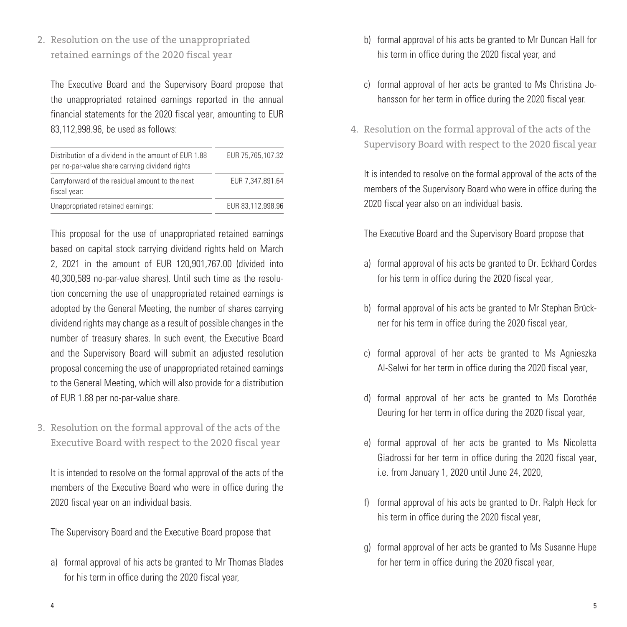2. Resolution on the use of the unappropriated retained earnings of the 2020 fiscal year

The Executive Board and the Supervisory Board propose that the unappropriated retained earnings reported in the annual financial statements for the 2020 fiscal year, amounting to EUR 83,112,998.96, be used as follows:

| Distribution of a dividend in the amount of EUR 1.88<br>per no-par-value share carrying dividend rights | EUR 75,765,107.32 |
|---------------------------------------------------------------------------------------------------------|-------------------|
| Carryforward of the residual amount to the next<br>fiscal year:                                         | EUR 7.347.891.64  |
| Unappropriated retained earnings:                                                                       | EUR 83.112.998.96 |

This proposal for the use of unappropriated retained earnings based on capital stock carrying dividend rights held on March 2, 2021 in the amount of EUR 120,901,767.00 (divided into 40,300,589 no-par-value shares). Until such time as the resolution concerning the use of unappropriated retained earnings is adopted by the General Meeting, the number of shares carrying dividend rights may change as a result of possible changes in the number of treasury shares. In such event, the Executive Board and the Supervisory Board will submit an adjusted resolution proposal concerning the use of unappropriated retained earnings to the General Meeting, which will also provide for a distribution of EUR 1.88 per no-par-value share.

3. Resolution on the formal approval of the acts of the Executive Board with respect to the 2020 fiscal year

It is intended to resolve on the formal approval of the acts of the members of the Executive Board who were in office during the 2020 fiscal year on an individual basis.

The Supervisory Board and the Executive Board propose that

a) formal approval of his acts be granted to Mr Thomas Blades for his term in office during the 2020 fiscal year,

- b) formal approval of his acts be granted to Mr Duncan Hall for his term in office during the 2020 fiscal year, and
- c) formal approval of her acts be granted to Ms Christina Johansson for her term in office during the 2020 fiscal year.
- 4. Resolution on the formal approval of the acts of the Supervisory Board with respect to the 2020 fiscal year

It is intended to resolve on the formal approval of the acts of the members of the Supervisory Board who were in office during the 2020 fiscal year also on an individual basis.

The Executive Board and the Supervisory Board propose that

- a) formal approval of his acts be granted to Dr. Eckhard Cordes for his term in office during the 2020 fiscal year,
- b) formal approval of his acts be granted to Mr Stephan Brückner for his term in office during the 2020 fiscal year,
- c) formal approval of her acts be granted to Ms Agnieszka Al-Selwi for her term in office during the 2020 fiscal year,
- d) formal approval of her acts be granted to Ms Dorothée Deuring for her term in office during the 2020 fiscal year,
- e) formal approval of her acts be granted to Ms Nicoletta Giadrossi for her term in office during the 2020 fiscal year, i.e. from January 1, 2020 until June 24, 2020,
- f) formal approval of his acts be granted to Dr. Ralph Heck for his term in office during the 2020 fiscal year,
- g) formal approval of her acts be granted to Ms Susanne Hupe for her term in office during the 2020 fiscal year,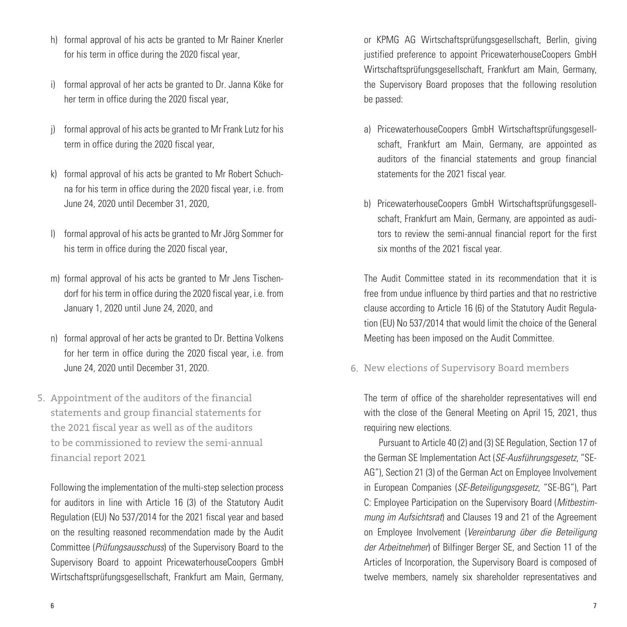- h) formal approval of his acts be granted to Mr Rainer Knerler for his term in office during the 2020 fiscal year,
- i) formal approval of her acts be granted to Dr. Janna Köke for her term in office during the 2020 fiscal year,
- j) formal approval of his acts be granted to Mr Frank Lutz for his term in office during the 2020 fiscal year,
- k) formal approval of his acts be granted to Mr Robert Schuchna for his term in office during the 2020 fiscal year, i.e. from June 24, 2020 until December 31, 2020,
- formal approval of his acts be granted to Mr Jörg Sommer for his term in office during the 2020 fiscal year,
- m) formal approval of his acts be granted to Mr Jens Tischendorf for his term in office during the 2020 fiscal year, i.e. from January 1, 2020 until June 24, 2020, and
- n) formal approval of her acts be granted to Dr. Bettina Volkens for her term in office during the 2020 fiscal year, i.e. from June 24, 2020 until December 31, 2020.
- 5. Appointment of the auditors of the financial statements and group financial statements for the 2021 fiscal year as well as of the auditors to be commissioned to review the semi-annual financial report 2021

Following the implementation of the multi-step selection process for auditors in line with Article 16 (3) of the Statutory Audit Regulation (EU) No 537/2014 for the 2021 fiscal year and based on the resulting reasoned recommendation made by the Audit Committee (*Prüfungsausschuss*) of the Supervisory Board to the Supervisory Board to appoint PricewaterhouseCoopers GmbH Wirtschaftsprüfungsgesellschaft, Frankfurt am Main, Germany,

or KPMG AG Wirtschaftsprüfungsgesellschaft, Berlin, giving justified preference to appoint PricewaterhouseCoopers GmbH Wirtschaftsprüfungsgesellschaft, Frankfurt am Main, Germany, the Supervisory Board proposes that the following resolution be passed:

- a) PricewaterhouseCoopers GmbH Wirtschaftsprüfungsgesellschaft, Frankfurt am Main, Germany, are appointed as auditors of the financial statements and group financial statements for the 2021 fiscal year.
- b) PricewaterhouseCoopers GmbH Wirtschaftsprüfungsgesellschaft, Frankfurt am Main, Germany, are appointed as auditors to review the semi-annual financial report for the first six months of the 2021 fiscal year.

The Audit Committee stated in its recommendation that it is free from undue influence by third parties and that no restrictive clause according to Article 16 (6) of the Statutory Audit Regulation (EU) No 537/2014 that would limit the choice of the General Meeting has been imposed on the Audit Committee.

6. New elections of Supervisory Board members

The term of office of the shareholder representatives will end with the close of the General Meeting on April 15, 2021, thus requiring new elections.

Pursuant to Article 40 (2) and (3) SE Regulation, Section 17 of the German SE Implementation Act (*SE-Ausführungsgesetz*, "SE-AG"), Section 21 (3) of the German Act on Employee Involvement in European Companies (*SE-Beteiligungsgesetz*, "SE-BG"), Part C: Employee Participation on the Supervisory Board (*Mitbestimmung im Aufsichtsrat*) and Clauses 19 and 21 of the Agreement on Employee Involvement (*Vereinbarung über die Beteiligung der Arbeitnehmer*) of Bilfinger Berger SE, and Section 11 of the Articles of Incorporation, the Supervisory Board is composed of twelve members, namely six shareholder representatives and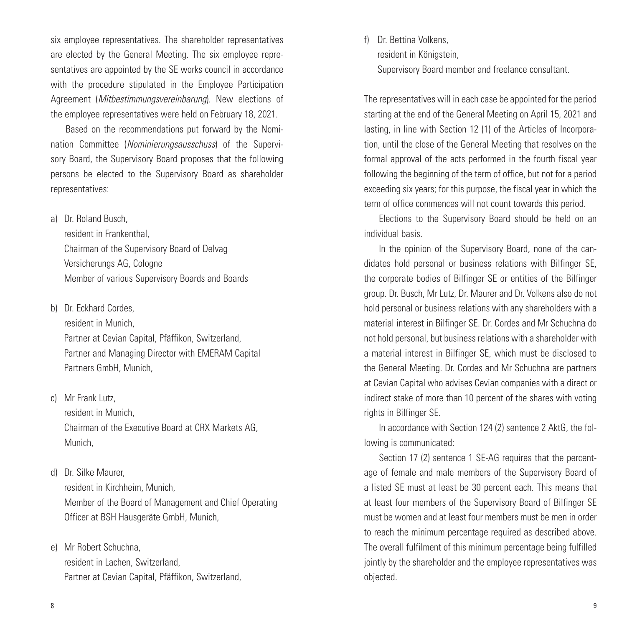six employee representatives. The shareholder representatives are elected by the General Meeting. The six employee representatives are appointed by the SE works council in accordance with the procedure stipulated in the Employee Participation Agreement (*Mitbestimmungsvereinbarung*). New elections of the employee representatives were held on February 18, 2021.

Based on the recommendations put forward by the Nomination Committee (*Nominierungsausschuss*) of the Supervisory Board, the Supervisory Board proposes that the following persons be elected to the Supervisory Board as shareholder representatives:

a) Dr. Roland Busch,

resident in Frankenthal, Chairman of the Supervisory Board of Delvag Versicherungs AG, Cologne Member of various Supervisory Boards and Boards

b) Dr. Eckhard Cordes,

resident in Munich, Partner at Cevian Capital, Pfäffikon, Switzerland, Partner and Managing Director with EMERAM Capital Partners GmbH, Munich,

c) Mr Frank Lutz,

resident in Munich, Chairman of the Executive Board at CRX Markets AG, Munich,

d) Dr. Silke Maurer,

resident in Kirchheim, Munich, Member of the Board of Management and Chief Operating Officer at BSH Hausgeräte GmbH, Munich,

e) Mr Robert Schuchna, resident in Lachen, Switzerland, Partner at Cevian Capital, Pfäffikon, Switzerland, f) Dr. Bettina Volkens resident in Königstein, Supervisory Board member and freelance consultant.

The representatives will in each case be appointed for the period starting at the end of the General Meeting on April 15, 2021 and lasting, in line with Section 12 (1) of the Articles of Incorporation, until the close of the General Meeting that resolves on the formal approval of the acts performed in the fourth fiscal year following the beginning of the term of office, but not for a period exceeding six years; for this purpose, the fiscal year in which the term of office commences will not count towards this period.

Elections to the Supervisory Board should be held on an individual basis.

In the opinion of the Supervisory Board, none of the candidates hold personal or business relations with Bilfinger SE, the corporate bodies of Bilfinger SE or entities of the Bilfinger group. Dr. Busch, Mr Lutz, Dr. Maurer and Dr. Volkens also do not hold personal or business relations with any shareholders with a material interest in Bilfinger SE. Dr. Cordes and Mr Schuchna do not hold personal, but business relations with a shareholder with a material interest in Bilfinger SE, which must be disclosed to the General Meeting. Dr. Cordes and Mr Schuchna are partners at Cevian Capital who advises Cevian companies with a direct or indirect stake of more than 10 percent of the shares with voting rights in Bilfinger SE.

In accordance with Section 124 (2) sentence 2 AktG, the following is communicated:

Section 17 (2) sentence 1 SE-AG requires that the percentage of female and male members of the Supervisory Board of a listed SE must at least be 30 percent each. This means that at least four members of the Supervisory Board of Bilfinger SE must be women and at least four members must be men in order to reach the minimum percentage required as described above. The overall fulfilment of this minimum percentage being fulfilled jointly by the shareholder and the employee representatives was objected.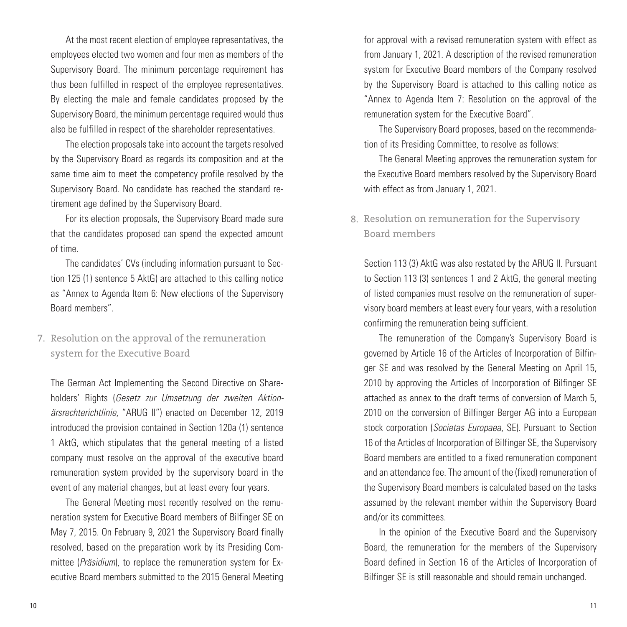At the most recent election of employee representatives, the employees elected two women and four men as members of the Supervisory Board. The minimum percentage requirement has thus been fulfilled in respect of the employee representatives. By electing the male and female candidates proposed by the Supervisory Board, the minimum percentage required would thus also be fulfilled in respect of the shareholder representatives.

The election proposals take into account the targets resolved by the Supervisory Board as regards its composition and at the same time aim to meet the competency profile resolved by the Supervisory Board. No candidate has reached the standard retirement age defined by the Supervisory Board.

For its election proposals, the Supervisory Board made sure that the candidates proposed can spend the expected amount of time.

The candidates' CVs (including information pursuant to Section 125 (1) sentence 5 AktG) are attached to this calling notice as "Annex to Agenda Item 6: New elections of the Supervisory Board members".

### 7. Resolution on the approval of the remuneration system for the Executive Board

The German Act Implementing the Second Directive on Shareholders' Rights (*Gesetz zur Umsetzung der zweiten Aktionärsrechterichtlinie*, "ARUG II") enacted on December 12, 2019 introduced the provision contained in Section 120a (1) sentence 1 AktG, which stipulates that the general meeting of a listed company must resolve on the approval of the executive board remuneration system provided by the supervisory board in the event of any material changes, but at least every four years.

The General Meeting most recently resolved on the remuneration system for Executive Board members of Bilfinger SE on May 7, 2015. On February 9, 2021 the Supervisory Board finally resolved, based on the preparation work by its Presiding Committee (*Präsidium*), to replace the remuneration system for Executive Board members submitted to the 2015 General Meeting for approval with a revised remuneration system with effect as from January 1, 2021. A description of the revised remuneration system for Executive Board members of the Company resolved by the Supervisory Board is attached to this calling notice as "Annex to Agenda Item 7: Resolution on the approval of the remuneration system for the Executive Board".

The Supervisory Board proposes, based on the recommendation of its Presiding Committee, to resolve as follows:

The General Meeting approves the remuneration system for the Executive Board members resolved by the Supervisory Board with effect as from January 1, 2021.

### Resolution on remuneration for the Supervisory 8.Board members

Section 113 (3) AktG was also restated by the ARUG II. Pursuant to Section 113 (3) sentences 1 and 2 AktG, the general meeting of listed companies must resolve on the remuneration of supervisory board members at least every four years, with a resolution confirming the remuneration being sufficient.

The remuneration of the Company's Supervisory Board is governed by Article 16 of the Articles of Incorporation of Bilfinger SE and was resolved by the General Meeting on April 15, 2010 by approving the Articles of Incorporation of Bilfinger SE attached as annex to the draft terms of conversion of March 5, 2010 on the conversion of Bilfinger Berger AG into a European stock corporation (*Societas Europaea*, SE). Pursuant to Section 16 of the Articles of Incorporation of Bilfinger SE, the Supervisory Board members are entitled to a fixed remuneration component and an attendance fee. The amount of the (fixed) remuneration of the Supervisory Board members is calculated based on the tasks assumed by the relevant member within the Supervisory Board and/or its committees.

In the opinion of the Executive Board and the Supervisory Board, the remuneration for the members of the Supervisory Board defined in Section 16 of the Articles of Incorporation of Bilfinger SE is still reasonable and should remain unchanged.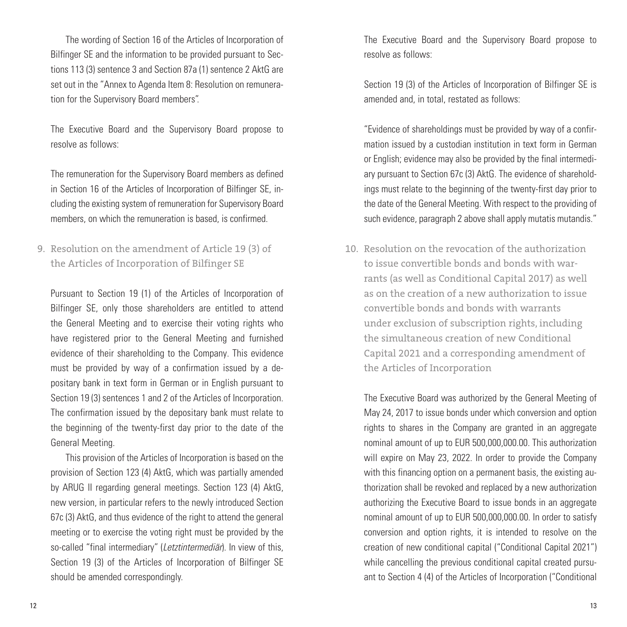The wording of Section 16 of the Articles of Incorporation of Bilfinger SE and the information to be provided pursuant to Sections 113 (3) sentence 3 and Section 87a (1) sentence 2 AktG are set out in the "Annex to Agenda Item 8: Resolution on remuneration for the Supervisory Board members".

The Executive Board and the Supervisory Board propose to resolve as follows:

The remuneration for the Supervisory Board members as defined in Section 16 of the Articles of Incorporation of Bilfinger SE, including the existing system of remuneration for Supervisory Board members, on which the remuneration is based, is confirmed.

Resolution on the amendment of Article 19 (3) of 9. 10.the Articles of Incorporation of Bilfinger SE

Pursuant to Section 19 (1) of the Articles of Incorporation of Bilfinger SE, only those shareholders are entitled to attend the General Meeting and to exercise their voting rights who have registered prior to the General Meeting and furnished evidence of their shareholding to the Company. This evidence must be provided by way of a confirmation issued by a depositary bank in text form in German or in English pursuant to Section 19 (3) sentences 1 and 2 of the Articles of Incorporation. The confirmation issued by the depositary bank must relate to the beginning of the twenty-first day prior to the date of the General Meeting.

This provision of the Articles of Incorporation is based on the provision of Section 123 (4) AktG, which was partially amended by ARUG II regarding general meetings. Section 123 (4) AktG, new version, in particular refers to the newly introduced Section 67c (3) AktG, and thus evidence of the right to attend the general meeting or to exercise the voting right must be provided by the so-called "final intermediary" (*Letztintermediär*). In view of this, Section 19 (3) of the Articles of Incorporation of Bilfinger SE should be amended correspondingly.

The Executive Board and the Supervisory Board propose to resolve as follows:

Section 19 (3) of the Articles of Incorporation of Bilfinger SE is amended and, in total, restated as follows:

"Evidence of shareholdings must be provided by way of a confirmation issued by a custodian institution in text form in German or English; evidence may also be provided by the final intermediary pursuant to Section 67c (3) AktG. The evidence of shareholdings must relate to the beginning of the twenty-first day prior to the date of the General Meeting. With respect to the providing of such evidence, paragraph 2 above shall apply mutatis mutandis."

Resolution on the revocation of the authorization to issue convertible bonds and bonds with warrants (as well as Conditional Capital 2017) as well as on the creation of a new authorization to issue convertible bonds and bonds with warrants under exclusion of subscription rights, including the simultaneous creation of new Conditional Capital 2021 and a corresponding amendment of the Articles of Incorporation

The Executive Board was authorized by the General Meeting of May 24, 2017 to issue bonds under which conversion and option rights to shares in the Company are granted in an aggregate nominal amount of up to EUR 500,000,000.00. This authorization will expire on May 23, 2022. In order to provide the Company with this financing option on a permanent basis, the existing authorization shall be revoked and replaced by a new authorization authorizing the Executive Board to issue bonds in an aggregate nominal amount of up to EUR 500,000,000.00. In order to satisfy conversion and option rights, it is intended to resolve on the creation of new conditional capital ("Conditional Capital 2021") while cancelling the previous conditional capital created pursuant to Section 4 (4) of the Articles of Incorporation ("Conditional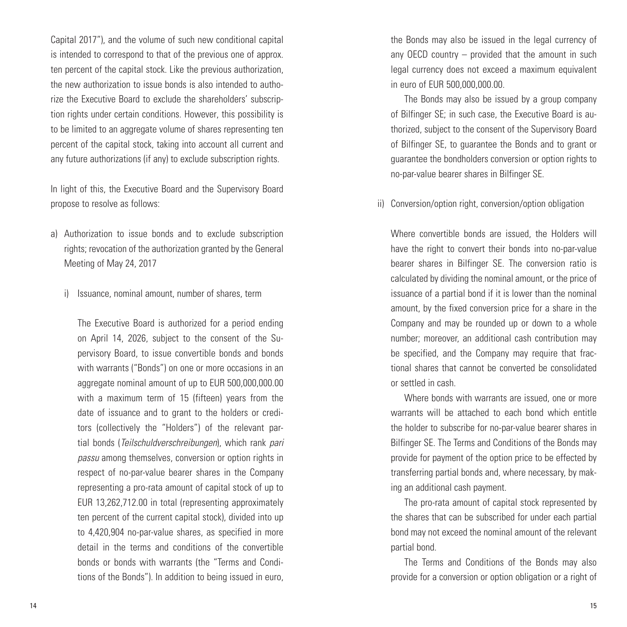Capital 2017"), and the volume of such new conditional capital is intended to correspond to that of the previous one of approx. ten percent of the capital stock. Like the previous authorization, the new authorization to issue bonds is also intended to authorize the Executive Board to exclude the shareholders' subscription rights under certain conditions. However, this possibility is to be limited to an aggregate volume of shares representing ten percent of the capital stock, taking into account all current and any future authorizations (if any) to exclude subscription rights.

In light of this, the Executive Board and the Supervisory Board propose to resolve as follows:

- a) Authorization to issue bonds and to exclude subscription rights; revocation of the authorization granted by the General Meeting of May 24, 2017
	- i) Issuance, nominal amount, number of shares, term

The Executive Board is authorized for a period ending on April 14, 2026, subject to the consent of the Supervisory Board, to issue convertible bonds and bonds with warrants ("Bonds") on one or more occasions in an aggregate nominal amount of up to EUR 500,000,000.00 with a maximum term of 15 (fifteen) years from the date of issuance and to grant to the holders or creditors (collectively the "Holders") of the relevant partial bonds (*Teilschuldverschreibungen*), which rank *pari passu* among themselves, conversion or option rights in respect of no-par-value bearer shares in the Company representing a pro-rata amount of capital stock of up to EUR 13,262,712.00 in total (representing approximately ten percent of the current capital stock), divided into up to 4,420,904 no-par-value shares, as specified in more detail in the terms and conditions of the convertible bonds or bonds with warrants (the "Terms and Conditions of the Bonds"). In addition to being issued in euro, the Bonds may also be issued in the legal currency of any OECD country – provided that the amount in such legal currency does not exceed a maximum equivalent in euro of EUR 500,000,000.00.

The Bonds may also be issued by a group company of Bilfinger SE; in such case, the Executive Board is authorized, subject to the consent of the Supervisory Board of Bilfinger SE, to guarantee the Bonds and to grant or guarantee the bondholders conversion or option rights to no-par-value bearer shares in Bilfinger SE.

ii) Conversion/option right, conversion/option obligation

Where convertible bonds are issued, the Holders will have the right to convert their bonds into no-par-value bearer shares in Bilfinger SE. The conversion ratio is calculated by dividing the nominal amount, or the price of issuance of a partial bond if it is lower than the nominal amount, by the fixed conversion price for a share in the Company and may be rounded up or down to a whole number; moreover, an additional cash contribution may be specified, and the Company may require that fractional shares that cannot be converted be consolidated or settled in cash.

Where bonds with warrants are issued, one or more warrants will be attached to each bond which entitle the holder to subscribe for no-par-value bearer shares in Bilfinger SE. The Terms and Conditions of the Bonds may provide for payment of the option price to be effected by transferring partial bonds and, where necessary, by making an additional cash payment.

The pro-rata amount of capital stock represented by the shares that can be subscribed for under each partial bond may not exceed the nominal amount of the relevant partial bond.

The Terms and Conditions of the Bonds may also provide for a conversion or option obligation or a right of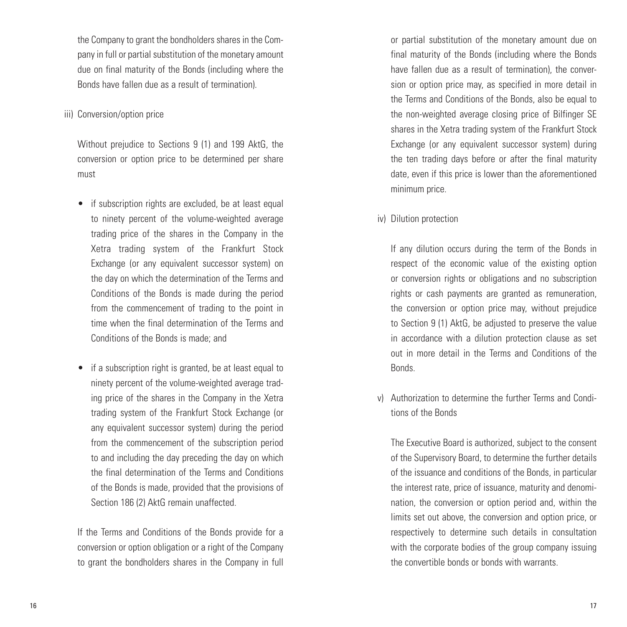the Company to grant the bondholders shares in the Company in full or partial substitution of the monetary amount due on final maturity of the Bonds (including where the Bonds have fallen due as a result of termination).

#### iii) Conversion/option price

Without prejudice to Sections 9 (1) and 199 AktG, the conversion or option price to be determined per share must

- if subscription rights are excluded, be at least equal to ninety percent of the volume-weighted average trading price of the shares in the Company in the Xetra trading system of the Frankfurt Stock Exchange (or any equivalent successor system) on the day on which the determination of the Terms and Conditions of the Bonds is made during the period from the commencement of trading to the point in time when the final determination of the Terms and Conditions of the Bonds is made; and
- if a subscription right is granted, be at least equal to ninety percent of the volume-weighted average trading price of the shares in the Company in the Xetra trading system of the Frankfurt Stock Exchange (or any equivalent successor system) during the period from the commencement of the subscription period to and including the day preceding the day on which the final determination of the Terms and Conditions of the Bonds is made, provided that the provisions of Section 186 (2) AktG remain unaffected.

If the Terms and Conditions of the Bonds provide for a conversion or option obligation or a right of the Company to grant the bondholders shares in the Company in full or partial substitution of the monetary amount due on final maturity of the Bonds (including where the Bonds have fallen due as a result of termination), the conversion or option price may, as specified in more detail in the Terms and Conditions of the Bonds, also be equal to the non-weighted average closing price of Bilfinger SE shares in the Xetra trading system of the Frankfurt Stock Exchange (or any equivalent successor system) during the ten trading days before or after the final maturity date, even if this price is lower than the aforementioned minimum price.

iv) Dilution protection

If any dilution occurs during the term of the Bonds in respect of the economic value of the existing option or conversion rights or obligations and no subscription rights or cash payments are granted as remuneration, the conversion or option price may, without prejudice to Section 9 (1) AktG, be adjusted to preserve the value in accordance with a dilution protection clause as set out in more detail in the Terms and Conditions of the Bonds.

v) Authorization to determine the further Terms and Conditions of the Bonds

The Executive Board is authorized, subject to the consent of the Supervisory Board, to determine the further details of the issuance and conditions of the Bonds, in particular the interest rate, price of issuance, maturity and denomination, the conversion or option period and, within the limits set out above, the conversion and option price, or respectively to determine such details in consultation with the corporate bodies of the group company issuing the convertible bonds or bonds with warrants.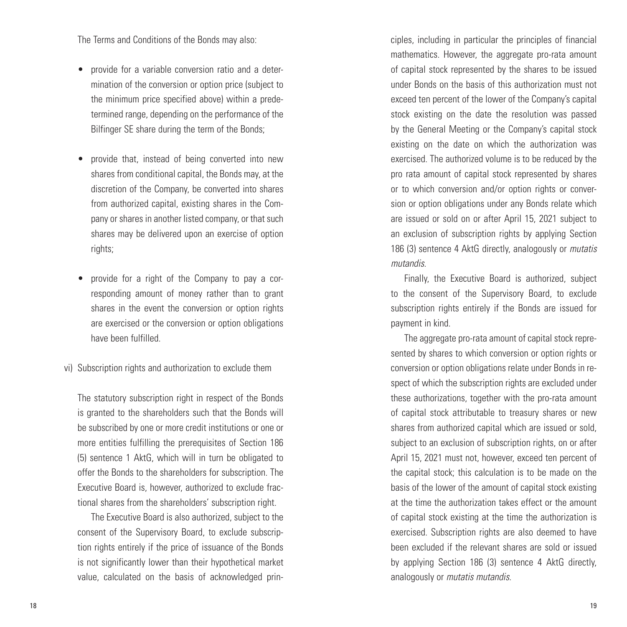The Terms and Conditions of the Bonds may also:

- provide for a variable conversion ratio and a determination of the conversion or option price (subject to the minimum price specified above) within a predetermined range, depending on the performance of the Bilfinger SE share during the term of the Bonds;
- provide that, instead of being converted into new shares from conditional capital, the Bonds may, at the discretion of the Company, be converted into shares from authorized capital, existing shares in the Company or shares in another listed company, or that such shares may be delivered upon an exercise of option rights;
- provide for a right of the Company to pay a corresponding amount of money rather than to grant shares in the event the conversion or option rights are exercised or the conversion or option obligations have been fulfilled.
- vi) Subscription rights and authorization to exclude them

The statutory subscription right in respect of the Bonds is granted to the shareholders such that the Bonds will be subscribed by one or more credit institutions or one or more entities fulfilling the prerequisites of Section 186 (5) sentence 1 AktG, which will in turn be obligated to offer the Bonds to the shareholders for subscription. The Executive Board is, however, authorized to exclude fractional shares from the shareholders' subscription right.

The Executive Board is also authorized, subject to the consent of the Supervisory Board, to exclude subscription rights entirely if the price of issuance of the Bonds is not significantly lower than their hypothetical market value, calculated on the basis of acknowledged principles, including in particular the principles of financial mathematics. However, the aggregate pro-rata amount of capital stock represented by the shares to be issued under Bonds on the basis of this authorization must not exceed ten percent of the lower of the Company's capital stock existing on the date the resolution was passed by the General Meeting or the Company's capital stock existing on the date on which the authorization was exercised. The authorized volume is to be reduced by the pro rata amount of capital stock represented by shares or to which conversion and/or option rights or conversion or option obligations under any Bonds relate which are issued or sold on or after April 15, 2021 subject to an exclusion of subscription rights by applying Section 186 (3) sentence 4 AktG directly, analogously or *mutatis mutandis*.

Finally, the Executive Board is authorized, subject to the consent of the Supervisory Board, to exclude subscription rights entirely if the Bonds are issued for payment in kind.

The aggregate pro-rata amount of capital stock represented by shares to which conversion or option rights or conversion or option obligations relate under Bonds in respect of which the subscription rights are excluded under these authorizations, together with the pro-rata amount of capital stock attributable to treasury shares or new shares from authorized capital which are issued or sold, subject to an exclusion of subscription rights, on or after April 15, 2021 must not, however, exceed ten percent of the capital stock; this calculation is to be made on the basis of the lower of the amount of capital stock existing at the time the authorization takes effect or the amount of capital stock existing at the time the authorization is exercised. Subscription rights are also deemed to have been excluded if the relevant shares are sold or issued by applying Section 186 (3) sentence 4 AktG directly, analogously or *mutatis mutandis*.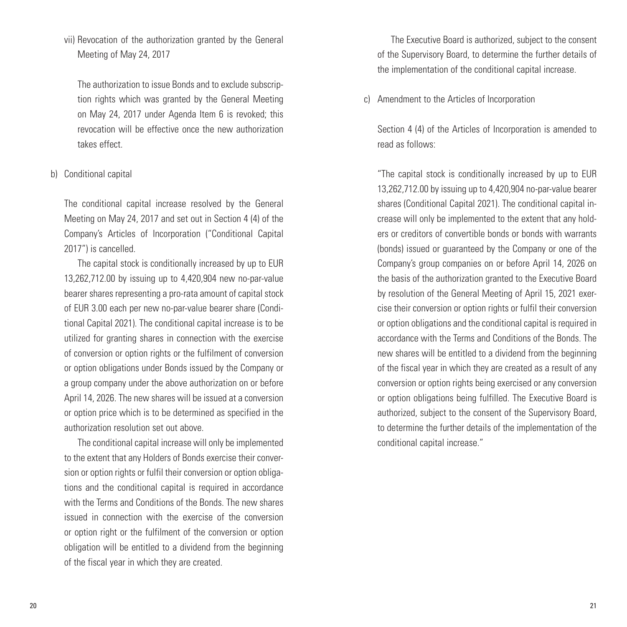vii) Revocation of the authorization granted by the General Meeting of May 24, 2017

The authorization to issue Bonds and to exclude subscription rights which was granted by the General Meeting on May 24, 2017 under Agenda Item 6 is revoked; this revocation will be effective once the new authorization takes effect.

#### b) Conditional capital

The conditional capital increase resolved by the General Meeting on May 24, 2017 and set out in Section 4 (4) of the Company's Articles of Incorporation ("Conditional Capital 2017") is cancelled.

The capital stock is conditionally increased by up to EUR 13,262,712.00 by issuing up to 4,420,904 new no-par-value bearer shares representing a pro-rata amount of capital stock of EUR 3.00 each per new no-par-value bearer share (Conditional Capital 2021). The conditional capital increase is to be utilized for granting shares in connection with the exercise of conversion or option rights or the fulfilment of conversion or option obligations under Bonds issued by the Company or a group company under the above authorization on or before April 14, 2026. The new shares will be issued at a conversion or option price which is to be determined as specified in the authorization resolution set out above.

The conditional capital increase will only be implemented to the extent that any Holders of Bonds exercise their conversion or option rights or fulfil their conversion or option obligations and the conditional capital is required in accordance with the Terms and Conditions of the Bonds. The new shares issued in connection with the exercise of the conversion or option right or the fulfilment of the conversion or option obligation will be entitled to a dividend from the beginning of the fiscal year in which they are created.

The Executive Board is authorized, subject to the consent of the Supervisory Board, to determine the further details of the implementation of the conditional capital increase.

c) Amendment to the Articles of Incorporation

Section 4 (4) of the Articles of Incorporation is amended to read as follows:

"The capital stock is conditionally increased by up to EUR 13,262,712.00 by issuing up to 4,420,904 no-par-value bearer shares (Conditional Capital 2021). The conditional capital increase will only be implemented to the extent that any holders or creditors of convertible bonds or bonds with warrants (bonds) issued or guaranteed by the Company or one of the Company's group companies on or before April 14, 2026 on the basis of the authorization granted to the Executive Board by resolution of the General Meeting of April 15, 2021 exercise their conversion or option rights or fulfil their conversion or option obligations and the conditional capital is required in accordance with the Terms and Conditions of the Bonds. The new shares will be entitled to a dividend from the beginning of the fiscal year in which they are created as a result of any conversion or option rights being exercised or any conversion or option obligations being fulfilled. The Executive Board is authorized, subject to the consent of the Supervisory Board, to determine the further details of the implementation of the conditional capital increase."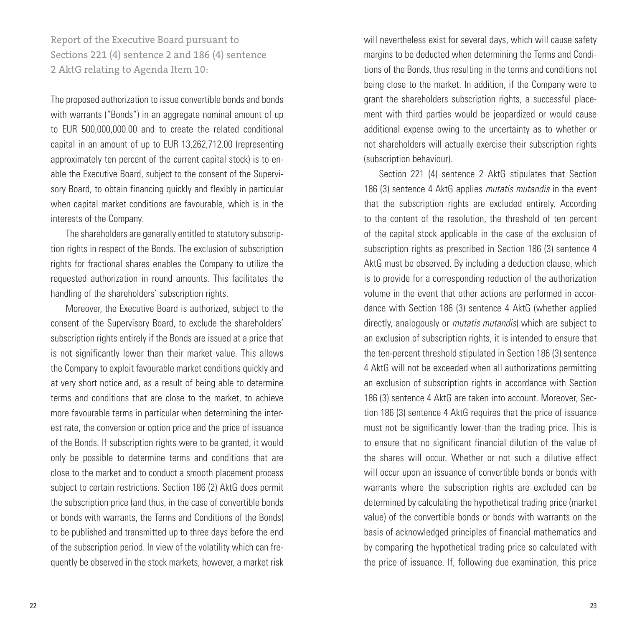Report of the Executive Board pursuant to Sections 221 (4) sentence 2 and 186 (4) sentence 2 AktG relating to Agenda Item 10:

The proposed authorization to issue convertible bonds and bonds with warrants ("Bonds") in an aggregate nominal amount of up to EUR 500,000,000.00 and to create the related conditional capital in an amount of up to EUR 13,262,712.00 (representing approximately ten percent of the current capital stock) is to enable the Executive Board, subject to the consent of the Supervisory Board, to obtain financing quickly and flexibly in particular when capital market conditions are favourable, which is in the interests of the Company.

The shareholders are generally entitled to statutory subscription rights in respect of the Bonds. The exclusion of subscription rights for fractional shares enables the Company to utilize the requested authorization in round amounts. This facilitates the handling of the shareholders' subscription rights.

Moreover, the Executive Board is authorized, subject to the consent of the Supervisory Board, to exclude the shareholders' subscription rights entirely if the Bonds are issued at a price that is not significantly lower than their market value. This allows the Company to exploit favourable market conditions quickly and at very short notice and, as a result of being able to determine terms and conditions that are close to the market, to achieve more favourable terms in particular when determining the interest rate, the conversion or option price and the price of issuance of the Bonds. If subscription rights were to be granted, it would only be possible to determine terms and conditions that are close to the market and to conduct a smooth placement process subject to certain restrictions. Section 186 (2) AktG does permit the subscription price (and thus, in the case of convertible bonds or bonds with warrants, the Terms and Conditions of the Bonds) to be published and transmitted up to three days before the end of the subscription period. In view of the volatility which can frequently be observed in the stock markets, however, a market risk

will nevertheless exist for several days, which will cause safety margins to be deducted when determining the Terms and Conditions of the Bonds, thus resulting in the terms and conditions not being close to the market. In addition, if the Company were to grant the shareholders subscription rights, a successful placement with third parties would be jeopardized or would cause additional expense owing to the uncertainty as to whether or not shareholders will actually exercise their subscription rights (subscription behaviour).

Section 221 (4) sentence 2 AktG stipulates that Section 186 (3) sentence 4 AktG applies *mutatis mutandis* in the event that the subscription rights are excluded entirely. According to the content of the resolution, the threshold of ten percent of the capital stock applicable in the case of the exclusion of subscription rights as prescribed in Section 186 (3) sentence 4 AktG must be observed. By including a deduction clause, which is to provide for a corresponding reduction of the authorization volume in the event that other actions are performed in accordance with Section 186 (3) sentence 4 AktG (whether applied directly, analogously or *mutatis mutandis*) which are subject to an exclusion of subscription rights, it is intended to ensure that the ten-percent threshold stipulated in Section 186 (3) sentence 4 AktG will not be exceeded when all authorizations permitting an exclusion of subscription rights in accordance with Section 186 (3) sentence 4 AktG are taken into account. Moreover, Section 186 (3) sentence 4 AktG requires that the price of issuance must not be significantly lower than the trading price. This is to ensure that no significant financial dilution of the value of the shares will occur. Whether or not such a dilutive effect will occur upon an issuance of convertible bonds or bonds with warrants where the subscription rights are excluded can be determined by calculating the hypothetical trading price (market value) of the convertible bonds or bonds with warrants on the basis of acknowledged principles of financial mathematics and by comparing the hypothetical trading price so calculated with the price of issuance. If, following due examination, this price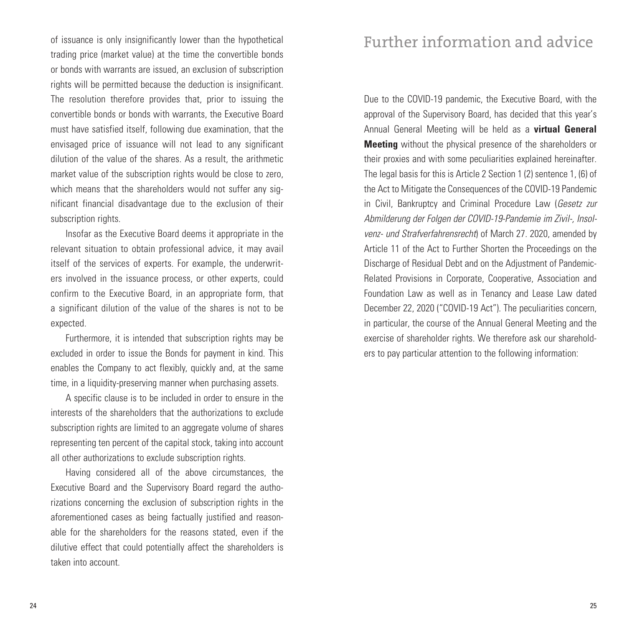of issuance is only insignificantly lower than the hypothetical trading price (market value) at the time the convertible bonds or bonds with warrants are issued, an exclusion of subscription rights will be permitted because the deduction is insignificant. The resolution therefore provides that, prior to issuing the convertible bonds or bonds with warrants, the Executive Board must have satisfied itself, following due examination, that the envisaged price of issuance will not lead to any significant dilution of the value of the shares. As a result, the arithmetic market value of the subscription rights would be close to zero, which means that the shareholders would not suffer any significant financial disadvantage due to the exclusion of their subscription rights.

Insofar as the Executive Board deems it appropriate in the relevant situation to obtain professional advice, it may avail itself of the services of experts. For example, the underwriters involved in the issuance process, or other experts, could confirm to the Executive Board, in an appropriate form, that a significant dilution of the value of the shares is not to be expected.

Furthermore, it is intended that subscription rights may be excluded in order to issue the Bonds for payment in kind. This enables the Company to act flexibly, quickly and, at the same time, in a liquidity-preserving manner when purchasing assets.

A specific clause is to be included in order to ensure in the interests of the shareholders that the authorizations to exclude subscription rights are limited to an aggregate volume of shares representing ten percent of the capital stock, taking into account all other authorizations to exclude subscription rights.

Having considered all of the above circumstances, the Executive Board and the Supervisory Board regard the authorizations concerning the exclusion of subscription rights in the aforementioned cases as being factually justified and reasonable for the shareholders for the reasons stated, even if the dilutive effect that could potentially affect the shareholders is taken into account.

# Further information and advice

Due to the COVID-19 pandemic, the Executive Board, with the approval of the Supervisory Board, has decided that this year's Annual General Meeting will be held as a **virtual General Meeting** without the physical presence of the shareholders or their proxies and with some peculiarities explained hereinafter. The legal basis for this is Article 2 Section 1 (2) sentence 1, (6) of the Act to Mitigate the Consequences of the COVID-19 Pandemic in Civil, Bankruptcy and Criminal Procedure Law (*Gesetz zur Abmilderung der Folgen der COVID-19-Pandemie im Zivil-, Insolvenz- und Strafverfahrensrecht*) of March 27. 2020, amended by Article 11 of the Act to Further Shorten the Proceedings on the Discharge of Residual Debt and on the Adjustment of Pandemic-Related Provisions in Corporate, Cooperative, Association and Foundation Law as well as in Tenancy and Lease Law dated December 22, 2020 ("COVID-19 Act"). The peculiarities concern, in particular, the course of the Annual General Meeting and the exercise of shareholder rights. We therefore ask our shareholders to pay particular attention to the following information: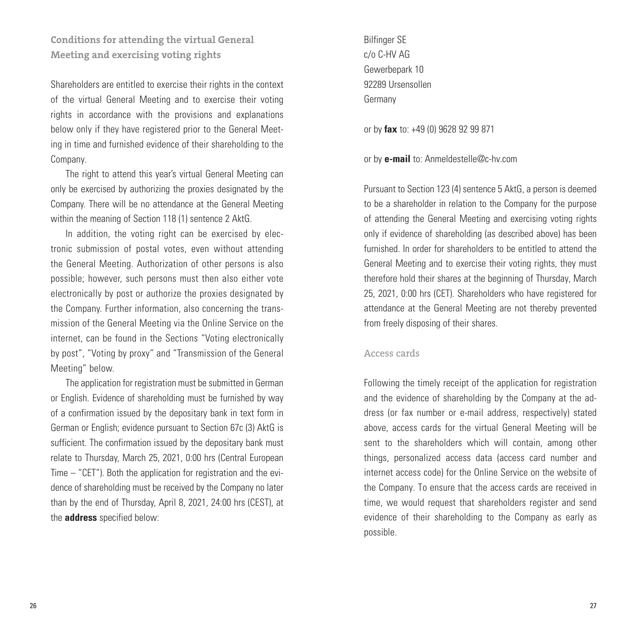**Conditions for attending the virtual General Meeting and exercising voting rights**

Shareholders are entitled to exercise their rights in the context of the virtual General Meeting and to exercise their voting rights in accordance with the provisions and explanations below only if they have registered prior to the General Meeting in time and furnished evidence of their shareholding to the Company.

The right to attend this year's virtual General Meeting can only be exercised by authorizing the proxies designated by the Company. There will be no attendance at the General Meeting within the meaning of Section 118 (1) sentence 2 AktG.

In addition, the voting right can be exercised by electronic submission of postal votes, even without attending the General Meeting. Authorization of other persons is also possible; however, such persons must then also either vote electronically by post or authorize the proxies designated by the Company. Further information, also concerning the transmission of the General Meeting via the Online Service on the internet, can be found in the Sections "Voting electronically by post", "Voting by proxy" and "Transmission of the General Meeting" below.

The application for registration must be submitted in German or English. Evidence of shareholding must be furnished by way of a confirmation issued by the depositary bank in text form in German or English; evidence pursuant to Section 67c (3) AktG is sufficient. The confirmation issued by the depositary bank must relate to Thursday, March 25, 2021, 0:00 hrs (Central European Time – "CET"). Both the application for registration and the evidence of shareholding must be received by the Company no later than by the end of Thursday, April 8, 2021, 24:00 hrs (CEST), at the **address** specified below:

Bilfinger SE c/o C-HV AG Gewerbepark 10 92289 Ursensollen Germany

or by **fax** to: +49 (0) 9628 92 99 871

or by **e-mail** to: Anmeldestelle@c-hv.com

Pursuant to Section 123 (4) sentence 5 AktG, a person is deemed to be a shareholder in relation to the Company for the purpose of attending the General Meeting and exercising voting rights only if evidence of shareholding (as described above) has been furnished. In order for shareholders to be entitled to attend the General Meeting and to exercise their voting rights, they must therefore hold their shares at the beginning of Thursday, March 25, 2021, 0:00 hrs (CET). Shareholders who have registered for attendance at the General Meeting are not thereby prevented from freely disposing of their shares.

#### Access cards

Following the timely receipt of the application for registration and the evidence of shareholding by the Company at the address (or fax number or e-mail address, respectively) stated above, access cards for the virtual General Meeting will be sent to the shareholders which will contain, among other things, personalized access data (access card number and internet access code) for the Online Service on the website of the Company. To ensure that the access cards are received in time, we would request that shareholders register and send evidence of their shareholding to the Company as early as possible.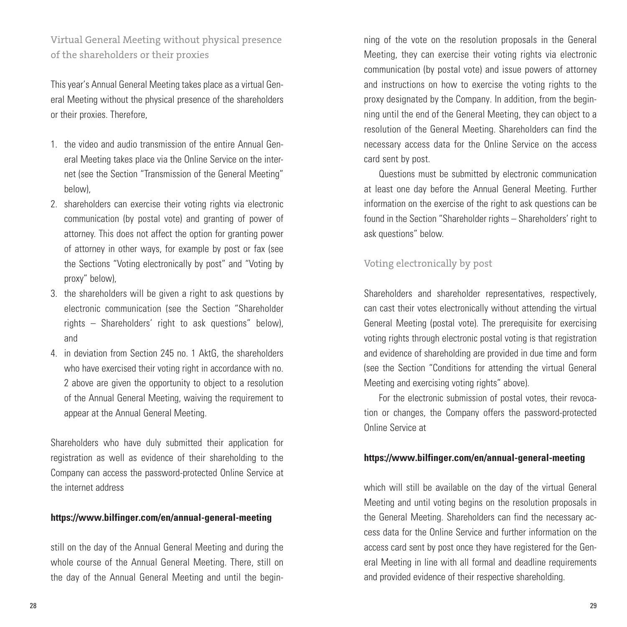Virtual General Meeting without physical presence of the shareholders or their proxies

This year's Annual General Meeting takes place as a virtual General Meeting without the physical presence of the shareholders or their proxies. Therefore,

- 1. the video and audio transmission of the entire Annual General Meeting takes place via the Online Service on the internet (see the Section "Transmission of the General Meeting" below),
- 2. shareholders can exercise their voting rights via electronic communication (by postal vote) and granting of power of attorney. This does not affect the option for granting power of attorney in other ways, for example by post or fax (see the Sections "Voting electronically by post" and "Voting by proxy" below),
- 3. the shareholders will be given a right to ask questions by electronic communication (see the Section "Shareholder rights – Shareholders' right to ask questions" below), and
- 4. in deviation from Section 245 no. 1 AktG, the shareholders who have exercised their voting right in accordance with no. 2 above are given the opportunity to object to a resolution of the Annual General Meeting, waiving the requirement to appear at the Annual General Meeting.

Shareholders who have duly submitted their application for registration as well as evidence of their shareholding to the Company can access the password-protected Online Service at the internet address

#### **https://www.bilfinger.com/en/annual-general-meeting**

still on the day of the Annual General Meeting and during the whole course of the Annual General Meeting. There, still on the day of the Annual General Meeting and until the beginning of the vote on the resolution proposals in the General Meeting, they can exercise their voting rights via electronic communication (by postal vote) and issue powers of attorney and instructions on how to exercise the voting rights to the proxy designated by the Company. In addition, from the beginning until the end of the General Meeting, they can object to a resolution of the General Meeting. Shareholders can find the necessary access data for the Online Service on the access card sent by post.

Questions must be submitted by electronic communication at least one day before the Annual General Meeting. Further information on the exercise of the right to ask questions can be found in the Section "Shareholder rights – Shareholders' right to ask questions" below.

#### Voting electronically by post

Shareholders and shareholder representatives, respectively, can cast their votes electronically without attending the virtual General Meeting (postal vote). The prerequisite for exercising voting rights through electronic postal voting is that registration and evidence of shareholding are provided in due time and form (see the Section "Conditions for attending the virtual General Meeting and exercising voting rights" above).

For the electronic submission of postal votes, their revocation or changes, the Company offers the password-protected Online Service at

#### **https://www.bilfinger.com/en/annual-general-meeting**

which will still be available on the day of the virtual General Meeting and until voting begins on the resolution proposals in the General Meeting. Shareholders can find the necessary access data for the Online Service and further information on the access card sent by post once they have registered for the General Meeting in line with all formal and deadline requirements and provided evidence of their respective shareholding.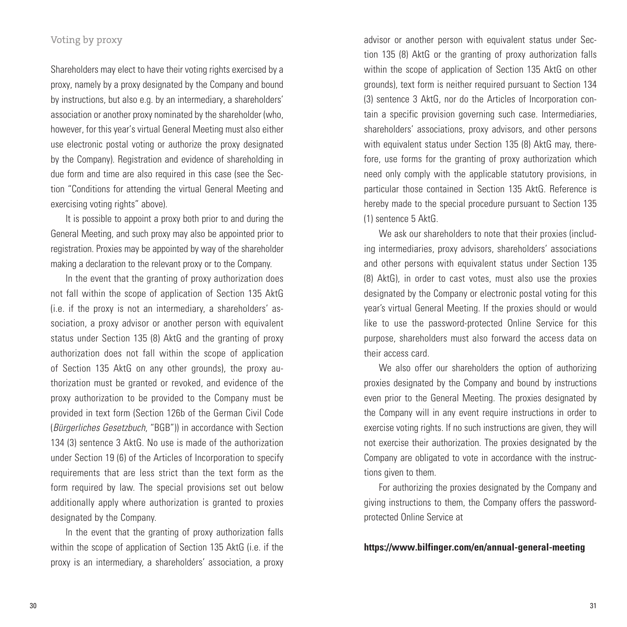#### Voting by proxy

Shareholders may elect to have their voting rights exercised by a proxy, namely by a proxy designated by the Company and bound by instructions, but also e.g. by an intermediary, a shareholders' association or another proxy nominated by the shareholder (who, however, for this year's virtual General Meeting must also either use electronic postal voting or authorize the proxy designated by the Company). Registration and evidence of shareholding in due form and time are also required in this case (see the Section "Conditions for attending the virtual General Meeting and exercising voting rights" above).

It is possible to appoint a proxy both prior to and during the General Meeting, and such proxy may also be appointed prior to registration. Proxies may be appointed by way of the shareholder making a declaration to the relevant proxy or to the Company.

In the event that the granting of proxy authorization does not fall within the scope of application of Section 135 AktG (i.e. if the proxy is not an intermediary, a shareholders' association, a proxy advisor or another person with equivalent status under Section 135 (8) AktG and the granting of proxy authorization does not fall within the scope of application of Section 135 AktG on any other grounds), the proxy authorization must be granted or revoked, and evidence of the proxy authorization to be provided to the Company must be provided in text form (Section 126b of the German Civil Code (*Bürgerliches Gesetzbuch*, "BGB")) in accordance with Section 134 (3) sentence 3 AktG. No use is made of the authorization under Section 19 (6) of the Articles of Incorporation to specify requirements that are less strict than the text form as the form required by law. The special provisions set out below additionally apply where authorization is granted to proxies designated by the Company.

In the event that the granting of proxy authorization falls within the scope of application of Section 135 AktG (i.e. if the proxy is an intermediary, a shareholders' association, a proxy advisor or another person with equivalent status under Section 135 (8) AktG or the granting of proxy authorization falls within the scope of application of Section 135 AktG on other grounds), text form is neither required pursuant to Section 134 (3) sentence 3 AktG, nor do the Articles of Incorporation contain a specific provision governing such case. Intermediaries, shareholders' associations, proxy advisors, and other persons with equivalent status under Section 135 (8) AktG may, therefore, use forms for the granting of proxy authorization which need only comply with the applicable statutory provisions, in particular those contained in Section 135 AktG. Reference is hereby made to the special procedure pursuant to Section 135 (1) sentence 5 AktG.

We ask our shareholders to note that their proxies (including intermediaries, proxy advisors, shareholders' associations and other persons with equivalent status under Section 135 (8) AktG), in order to cast votes, must also use the proxies designated by the Company or electronic postal voting for this year's virtual General Meeting. If the proxies should or would like to use the password-protected Online Service for this purpose, shareholders must also forward the access data on their access card.

We also offer our shareholders the option of authorizing proxies designated by the Company and bound by instructions even prior to the General Meeting. The proxies designated by the Company will in any event require instructions in order to exercise voting rights. If no such instructions are given, they will not exercise their authorization. The proxies designated by the Company are obligated to vote in accordance with the instructions given to them.

For authorizing the proxies designated by the Company and giving instructions to them, the Company offers the passwordprotected Online Service at

#### **https://www.bilfinger.com/en/annual-general-meeting**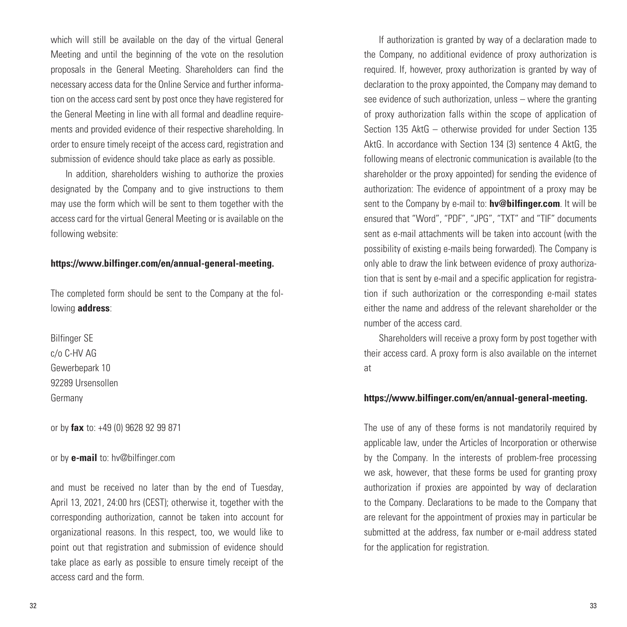which will still be available on the day of the virtual General Meeting and until the beginning of the vote on the resolution proposals in the General Meeting. Shareholders can find the necessary access data for the Online Service and further information on the access card sent by post once they have registered for the General Meeting in line with all formal and deadline requirements and provided evidence of their respective shareholding. In order to ensure timely receipt of the access card, registration and submission of evidence should take place as early as possible.

In addition, shareholders wishing to authorize the proxies designated by the Company and to give instructions to them may use the form which will be sent to them together with the access card for the virtual General Meeting or is available on the following website:

#### **https://www.bilfinger.com/en/annual-general-meeting.**

The completed form should be sent to the Company at the following **address**:

Bilfinger SE c/o C-HV AG Gewerbepark 10 92289 Ursensollen Germany

or by **fax** to: +49 (0) 9628 92 99 871

or by **e-mail** to: hv@bilfinger.com

and must be received no later than by the end of Tuesday, April 13, 2021, 24:00 hrs (CEST); otherwise it, together with the corresponding authorization, cannot be taken into account for organizational reasons. In this respect, too, we would like to point out that registration and submission of evidence should take place as early as possible to ensure timely receipt of the access card and the form.

If authorization is granted by way of a declaration made to the Company, no additional evidence of proxy authorization is required. If, however, proxy authorization is granted by way of declaration to the proxy appointed, the Company may demand to see evidence of such authorization, unless – where the granting of proxy authorization falls within the scope of application of Section 135 AktG – otherwise provided for under Section 135 AktG. In accordance with Section 134 (3) sentence 4 AktG, the following means of electronic communication is available (to the shareholder or the proxy appointed) for sending the evidence of authorization: The evidence of appointment of a proxy may be sent to the Company by e-mail to: **hv@bilfinger.com**. It will be ensured that "Word", "PDF", "JPG", "TXT" and "TIF" documents sent as e-mail attachments will be taken into account (with the possibility of existing e-mails being forwarded). The Company is only able to draw the link between evidence of proxy authorization that is sent by e-mail and a specific application for registration if such authorization or the corresponding e-mail states either the name and address of the relevant shareholder or the number of the access card.

Shareholders will receive a proxy form by post together with their access card. A proxy form is also available on the internet at

#### **https://www.bilfinger.com/en/annual-general-meeting.**

The use of any of these forms is not mandatorily required by applicable law, under the Articles of Incorporation or otherwise by the Company. In the interests of problem-free processing we ask, however, that these forms be used for granting proxy authorization if proxies are appointed by way of declaration to the Company. Declarations to be made to the Company that are relevant for the appointment of proxies may in particular be submitted at the address, fax number or e-mail address stated for the application for registration.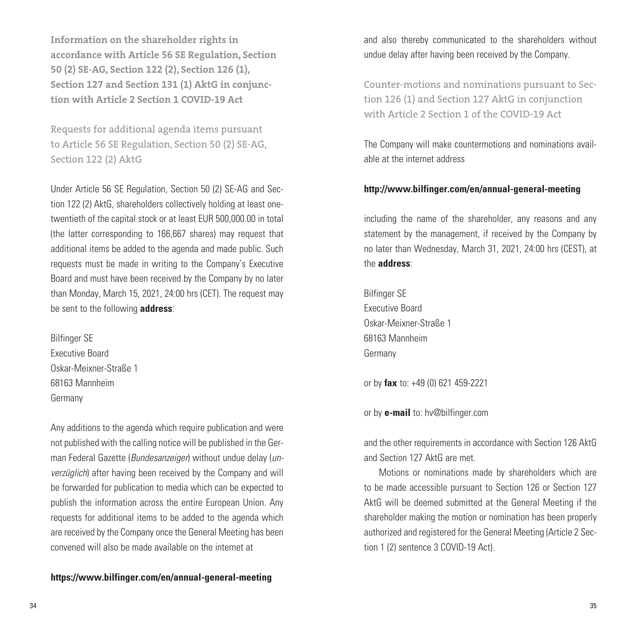**Information on the shareholder rights in accordance with Article 56 SE Regulation, Section 50 (2) SE-AG, Section 122 (2), Section 126 (1), Section 127 and Section 131 (1) AktG in conjunction with Article 2 Section 1 COVID-19 Act**

Requests for additional agenda items pursuant to Article 56 SE Regulation, Section 50 (2) SE-AG, Section 122 (2) AktG

Under Article 56 SE Regulation, Section 50 (2) SE-AG and Section 122 (2) AktG, shareholders collectively holding at least onetwentieth of the capital stock or at least EUR 500,000.00 in total (the latter corresponding to 166,667 shares) may request that additional items be added to the agenda and made public. Such requests must be made in writing to the Company's Executive Board and must have been received by the Company by no later than Monday, March 15, 2021, 24:00 hrs (CET). The request may be sent to the following **address**:

Bilfinger SE Executive Board Oskar-Meixner-Straße 1 68163 Mannheim Germany

Any additions to the agenda which require publication and were not published with the calling notice will be published in the German Federal Gazette (*Bundesanzeiger*) without undue delay (*unverzüglich*) after having been received by the Company and will be forwarded for publication to media which can be expected to publish the information across the entire European Union. Any requests for additional items to be added to the agenda which are received by the Company once the General Meeting has been convened will also be made available on the internet at

**https://www.bilfinger.com/en/annual-general-meeting**

and also thereby communicated to the shareholders without undue delay after having been received by the Company.

Counter-motions and nominations pursuant to Section 126 (1) and Section 127 AktG in conjunction with Article 2 Section 1 of the COVID-19 Act

The Company will make countermotions and nominations available at the internet address

#### **http://www.bilfinger.com/en/annual-general-meeting**

including the name of the shareholder, any reasons and any statement by the management, if received by the Company by no later than Wednesday, March 31, 2021, 24:00 hrs (CEST), at the **address**:

Bilfinger SE Executive Board Oskar-Meixner-Straße 1 68163 Mannheim Germany

or by **fax** to: +49 (0) 621 459-2221

or by **e-mail** to: hv@bilfinger.com

and the other requirements in accordance with Section 126 AktG and Section 127 AktG are met.

Motions or nominations made by shareholders which are to be made accessible pursuant to Section 126 or Section 127 AktG will be deemed submitted at the General Meeting if the shareholder making the motion or nomination has been properly authorized and registered for the General Meeting (Article 2 Section 1 (2) sentence 3 COVID-19 Act).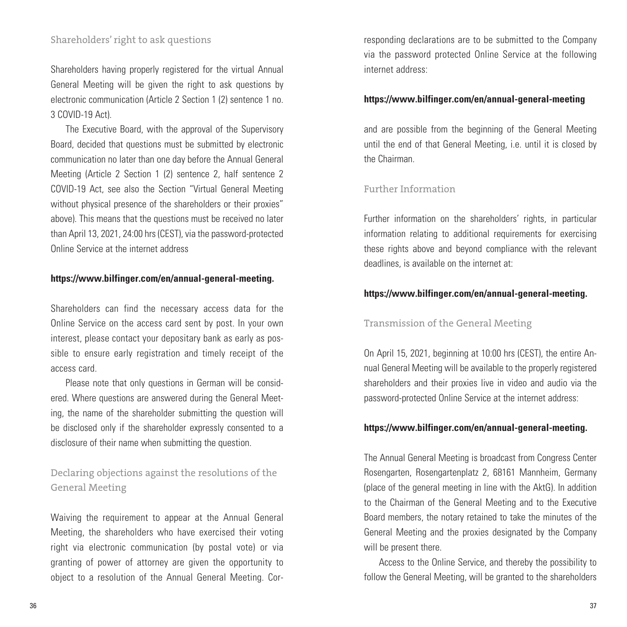Shareholders having properly registered for the virtual Annual General Meeting will be given the right to ask questions by electronic communication (Article 2 Section 1 (2) sentence 1 no. 3 COVID-19 Act).

The Executive Board, with the approval of the Supervisory Board, decided that questions must be submitted by electronic communication no later than one day before the Annual General Meeting (Article 2 Section 1 (2) sentence 2, half sentence 2 COVID-19 Act, see also the Section "Virtual General Meeting without physical presence of the shareholders or their proxies" above). This means that the questions must be received no later than April 13, 2021, 24:00 hrs (CEST), via the password-protected Online Service at the internet address

#### **https://www.bilfinger.com/en/annual-general-meeting.**

Shareholders can find the necessary access data for the Online Service on the access card sent by post. In your own interest, please contact your depositary bank as early as possible to ensure early registration and timely receipt of the access card.

Please note that only questions in German will be considered. Where questions are answered during the General Meeting, the name of the shareholder submitting the question will be disclosed only if the shareholder expressly consented to a disclosure of their name when submitting the question.

Declaring objections against the resolutions of the General Meeting

Waiving the requirement to appear at the Annual General Meeting, the shareholders who have exercised their voting right via electronic communication (by postal vote) or via granting of power of attorney are given the opportunity to object to a resolution of the Annual General Meeting. Corresponding declarations are to be submitted to the Company via the password protected Online Service at the following internet address:

#### **https://www.bilfinger.com/en/annual-general-meeting**

and are possible from the beginning of the General Meeting until the end of that General Meeting, i.e. until it is closed by the Chairman.

#### Further Information

Further information on the shareholders' rights, in particular information relating to additional requirements for exercising these rights above and beyond compliance with the relevant deadlines, is available on the internet at:

#### **https://www.bilfinger.com/en/annual-general-meeting.**

#### Transmission of the General Meeting

On April 15, 2021, beginning at 10:00 hrs (CEST), the entire Annual General Meeting will be available to the properly registered shareholders and their proxies live in video and audio via the password-protected Online Service at the internet address:

#### **https://www.bilfinger.com/en/annual-general-meeting.**

The Annual General Meeting is broadcast from Congress Center Rosengarten, Rosengartenplatz 2, 68161 Mannheim, Germany (place of the general meeting in line with the AktG). In addition to the Chairman of the General Meeting and to the Executive Board members, the notary retained to take the minutes of the General Meeting and the proxies designated by the Company will be present there.

Access to the Online Service, and thereby the possibility to follow the General Meeting, will be granted to the shareholders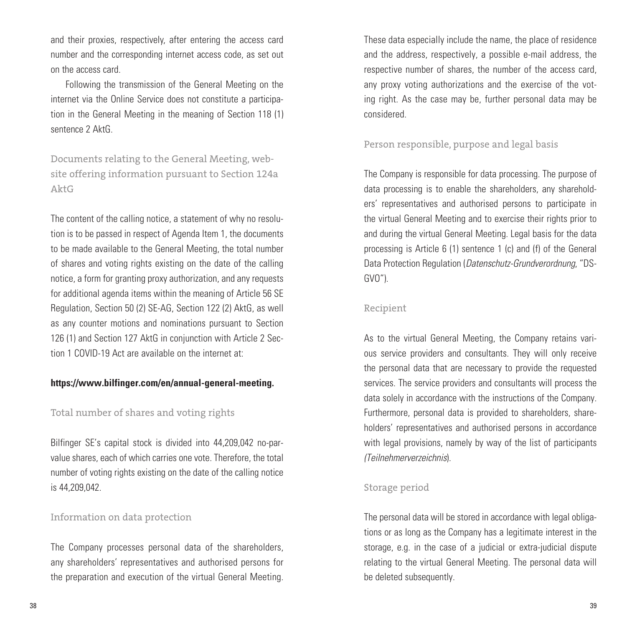and their proxies, respectively, after entering the access card number and the corresponding internet access code, as set out on the access card.

Following the transmission of the General Meeting on the internet via the Online Service does not constitute a participation in the General Meeting in the meaning of Section 118 (1) sentence 2 AktG.

Documents relating to the General Meeting, website offering information pursuant to Section 124a AktG

The content of the calling notice, a statement of why no resolution is to be passed in respect of Agenda Item 1, the documents to be made available to the General Meeting, the total number of shares and voting rights existing on the date of the calling notice, a form for granting proxy authorization, and any requests for additional agenda items within the meaning of Article 56 SE Regulation, Section 50 (2) SE-AG, Section 122 (2) AktG, as well as any counter motions and nominations pursuant to Section 126 (1) and Section 127 AktG in conjunction with Article 2 Section 1 COVID-19 Act are available on the internet at:

#### **https://www.bilfinger.com/en/annual-general-meeting.**

#### Total number of shares and voting rights

Bilfinger SE's capital stock is divided into 44,209,042 no-parvalue shares, each of which carries one vote. Therefore, the total number of voting rights existing on the date of the calling notice is 44,209,042.

#### Information on data protection

The Company processes personal data of the shareholders, any shareholders' representatives and authorised persons for the preparation and execution of the virtual General Meeting.

These data especially include the name, the place of residence and the address, respectively, a possible e-mail address, the respective number of shares, the number of the access card, any proxy voting authorizations and the exercise of the voting right. As the case may be, further personal data may be considered.

#### Person responsible, purpose and legal basis

The Company is responsible for data processing. The purpose of data processing is to enable the shareholders, any shareholders' representatives and authorised persons to participate in the virtual General Meeting and to exercise their rights prior to and during the virtual General Meeting. Legal basis for the data processing is Article 6 (1) sentence 1 (c) and (f) of the General Data Protection Regulation (*Datenschutz-Grundverordnung*, "DS-GVO").

#### Recipient

As to the virtual General Meeting, the Company retains various service providers and consultants. They will only receive the personal data that are necessary to provide the requested services. The service providers and consultants will process the data solely in accordance with the instructions of the Company. Furthermore, personal data is provided to shareholders, shareholders' representatives and authorised persons in accordance with legal provisions, namely by way of the list of participants *(Teilnehmerverzeichnis*).

#### Storage period

The personal data will be stored in accordance with legal obligations or as long as the Company has a legitimate interest in the storage, e.g. in the case of a judicial or extra-judicial dispute relating to the virtual General Meeting. The personal data will be deleted subsequently.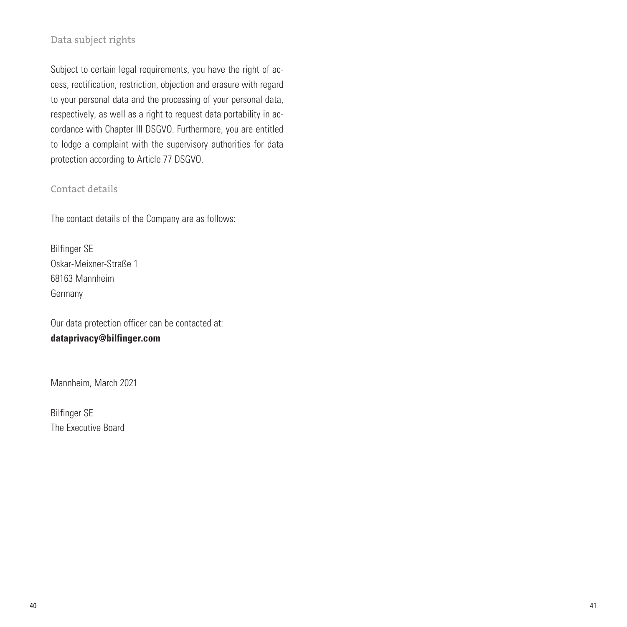#### Data subject rights

Subject to certain legal requirements, you have the right of access, rectification, restriction, objection and erasure with regard to your personal data and the processing of your personal data, respectively, as well as a right to request data portability in accordance with Chapter III DSGVO. Furthermore, you are entitled to lodge a complaint with the supervisory authorities for data protection according to Article 77 DSGVO.

#### Contact details

The contact details of the Company are as follows:

Bilfinger SE Oskar-Meixner-Straße 1 68163 Mannheim Germany

Our data protection officer can be contacted at: **dataprivacy@bilfinger.com** 

Mannheim, March 2021

Bilfinger SE The Executive Board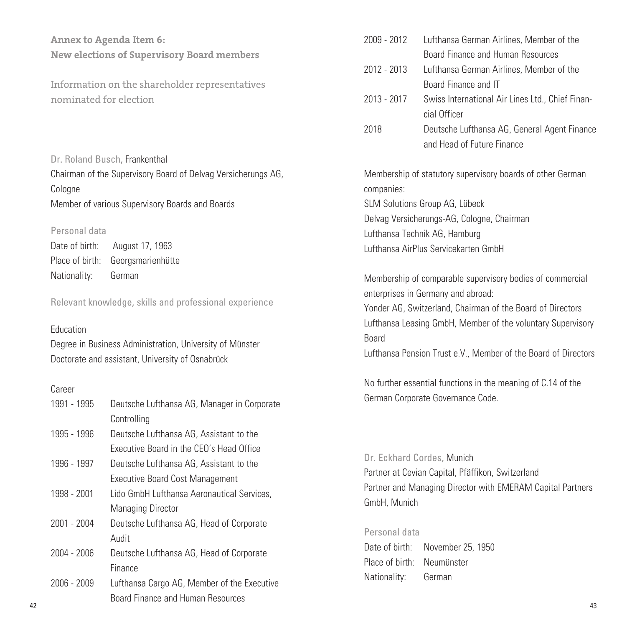**Annex to Agenda Item 6: New elections of Supervisory Board members**

Information on the shareholder representatives nominated for election

Dr. Roland Busch, Frankenthal Chairman of the Supervisory Board of Delvag Versicherungs AG, Cologne Member of various Supervisory Boards and Boards

#### Personal data

Date of birth: August 17, 1963 Place of birth: Georgsmarienhütte Nationality: German

Relevant knowledge, skills and professional experience

#### Education

Degree in Business Administration, University of Münster Doctorate and assistant, University of Osnabrück

#### Career

| 1991 - 1995 | Deutsche Lufthansa AG, Manager in Corporate | derman corporate dovernance code.                                                                               |
|-------------|---------------------------------------------|-----------------------------------------------------------------------------------------------------------------|
|             | Controlling                                 |                                                                                                                 |
| 1995 - 1996 | Deutsche Lufthansa AG, Assistant to the     |                                                                                                                 |
|             | Executive Board in the CEO's Head Office    |                                                                                                                 |
| 1996 - 1997 | Deutsche Lufthansa AG, Assistant to the     | Dr. Eckhard Cordes, Munich                                                                                      |
|             | <b>Executive Board Cost Management</b>      | Partner at Cevian Capital, Pfäffikon, Switzerland<br>Partner and Managing Director with EMERAM Capital Partners |
| 1998 - 2001 | Lido GmbH Lufthansa Aeronautical Services.  | GmbH, Munich                                                                                                    |
|             | <b>Managing Director</b>                    |                                                                                                                 |
| 2001 - 2004 | Deutsche Lufthansa AG, Head of Corporate    | Personal data                                                                                                   |
|             | Audit                                       | Date of birth:<br>November 25, 1950                                                                             |
| 2004 - 2006 | Deutsche Lufthansa AG, Head of Corporate    | Place of birth:<br>Neumünster                                                                                   |
|             | Finance                                     | Nationality:<br>German                                                                                          |
| 2006 - 2009 | Lufthansa Cargo AG, Member of the Executive |                                                                                                                 |
| 42          | Board Finance and Human Resources           | 43                                                                                                              |

| 2009 - 2012 | Lufthansa German Airlines, Member of the         |
|-------------|--------------------------------------------------|
|             | Board Finance and Human Resources                |
| 2012 - 2013 | Lufthansa German Airlines, Member of the         |
|             | Board Finance and IT                             |
| 2013 - 2017 | Swiss International Air Lines Ltd., Chief Finan- |
|             | cial Officer                                     |
| 2018        | Deutsche Lufthansa AG General Agent Financ       |

2018 Deutsche Lufthansa AG, General Agent Finance and Head of Future Finance

Membership of statutory supervisory boards of other German companies: SLM Solutions Group AG, Lübeck Delvag Versicherungs-AG, Cologne, Chairman Lufthansa Technik AG, Hamburg Lufthansa AirPlus Servicekarten GmbH

Membership of comparable supervisory bodies of commercial enterprises in Germany and abroad:

Yonder AG, Switzerland, Chairman of the Board of Directors Lufthansa Leasing GmbH, Member of the voluntary Supervisory Board

Lufthansa Pension Trust e.V., Member of the Board of Directors

No further essential functions in the meaning of C.14 of the German Corporate Governance Code.

#### Dr. Eckhard Cordes, Munich

#### Personal data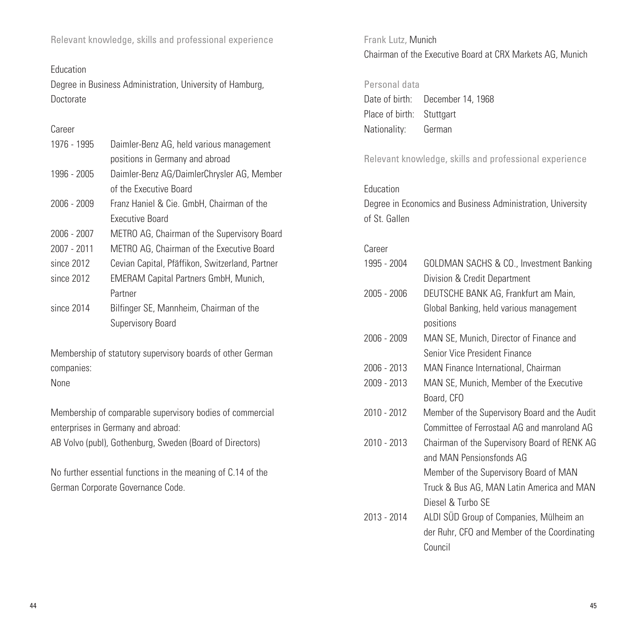Relevant knowledge, skills and professional experience

#### Education

Degree in Business Administration, University of Hamburg, Doctorate

#### Career

| Daimler-Benz AG, held various management        |
|-------------------------------------------------|
| positions in Germany and abroad                 |
| Daimler-Benz AG/DaimlerChrysler AG, Member      |
| of the Executive Board                          |
| Franz Haniel & Cie. GmbH, Chairman of the       |
| Executive Board                                 |
| METRO AG, Chairman of the Supervisory Board     |
| METRO AG, Chairman of the Executive Board       |
| Cevian Capital, Pfäffikon, Switzerland, Partner |
| <b>EMERAM Capital Partners GmbH, Munich,</b>    |
| Partner                                         |
| Bilfinger SE, Mannheim, Chairman of the         |
| Supervisory Board                               |
|                                                 |

Membership of statutory supervisory boards of other German companies:

None

Membership of comparable supervisory bodies of commercial enterprises in Germany and abroad:

AB Volvo (publ), Gothenburg, Sweden (Board of Directors)

No further essential functions in the meaning of C.14 of the German Corporate Governance Code.

Frank Lutz, Munich Chairman of the Executive Board at CRX Markets AG, Munich

#### Personal data

Date of birth: December 14, 1968 Place of birth: Stuttgart Nationality: German

Relevant knowledge, skills and professional experience

#### **Education**

Degree in Economics and Business Administration, University of St. Gallen

#### Career

| 1995 - 2004 | GOLDMAN SACHS & CO., Investment Banking |
|-------------|-----------------------------------------|
|             | Division & Credit Department            |

- 2005 2006 DEUTSCHE BANK AG, Frankfurt am Main, Global Banking, held various management positions
- 2006 2009 MAN SE, Munich, Director of Finance and Senior Vice President Finance
- 2006 2013 MAN Finance International, Chairman
- 2009 2013 MAN SE, Munich, Member of the Executive Board, CFO
- 2010 2012 Member of the Supervisory Board and the Audit Committee of Ferrostaal AG and manroland AG
- 2010 2013 Chairman of the Supervisory Board of RENK AG and MAN Pensionsfonds AG Member of the Supervisory Board of MAN Truck & Bus AG, MAN Latin America and MAN
	- Diesel & Turbo SE
- 2013 2014 ALDI SÜD Group of Companies, Mülheim an der Ruhr, CFO and Member of the Coordinating Council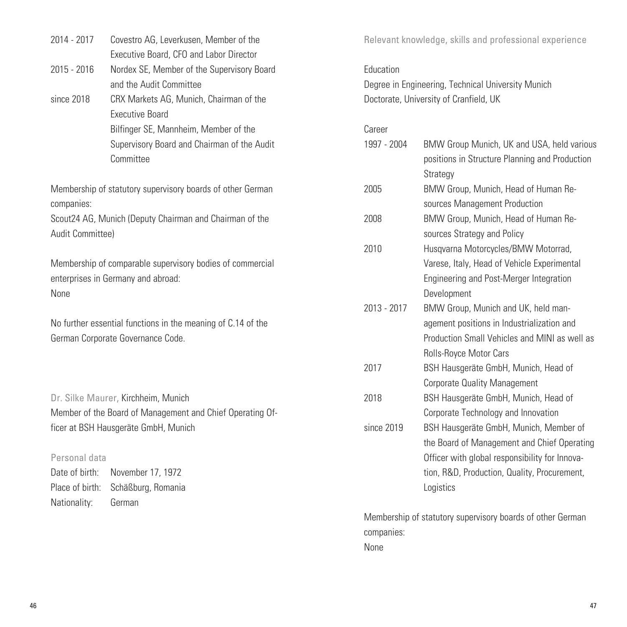| 2014 - 2017                       | Covestro AG, Leverkusen, Member of the<br>Executive Board, CFO and Labor Director |             | Relevant knowledge, skills and professional experience                                                   |
|-----------------------------------|-----------------------------------------------------------------------------------|-------------|----------------------------------------------------------------------------------------------------------|
| 2015 - 2016                       | Nordex SE, Member of the Supervisory Board                                        | Education   |                                                                                                          |
|                                   | and the Audit Committee                                                           |             | Degree in Engineering, Technical University Munich                                                       |
| since 2018                        | CRX Markets AG, Munich, Chairman of the<br><b>Executive Board</b>                 |             | Doctorate, University of Cranfield, UK                                                                   |
|                                   | Bilfinger SE, Mannheim, Member of the                                             | Career      |                                                                                                          |
|                                   | Supervisory Board and Chairman of the Audit<br>Committee                          | 1997 - 2004 | BMW Group Munich, UK and USA, held various<br>positions in Structure Planning and Production<br>Strategy |
| companies:                        | Membership of statutory supervisory boards of other German                        | 2005        | BMW Group, Munich, Head of Human Re-<br>sources Management Production                                    |
| Audit Committee)                  | Scout24 AG, Munich (Deputy Chairman and Chairman of the                           | 2008        | BMW Group, Munich, Head of Human Re-<br>sources Strategy and Policy                                      |
|                                   |                                                                                   | 2010        | Husqvarna Motorcycles/BMW Motorrad,                                                                      |
|                                   | Membership of comparable supervisory bodies of commercial                         |             | Varese, Italy, Head of Vehicle Experimental                                                              |
|                                   | enterprises in Germany and abroad:                                                |             | Engineering and Post-Merger Integration                                                                  |
| None                              |                                                                                   |             | Development                                                                                              |
|                                   |                                                                                   | 2013 - 2017 | BMW Group, Munich and UK, held man-                                                                      |
|                                   | No further essential functions in the meaning of C.14 of the                      |             | agement positions in Industrialization and                                                               |
|                                   | German Corporate Governance Code.                                                 |             | Production Small Vehicles and MINI as well as                                                            |
|                                   |                                                                                   |             | Rolls-Royce Motor Cars                                                                                   |
|                                   |                                                                                   | 2017        | BSH Hausgeräte GmbH, Munich, Head of                                                                     |
|                                   |                                                                                   |             | <b>Corporate Quality Management</b>                                                                      |
|                                   | Dr. Silke Maurer, Kirchheim, Munich                                               | 2018        | BSH Hausgeräte GmbH, Munich, Head of                                                                     |
|                                   | Member of the Board of Management and Chief Operating Of-                         |             | Corporate Technology and Innovation                                                                      |
|                                   | ficer at BSH Hausgeräte GmbH, Munich                                              | since 2019  | BSH Hausgeräte GmbH, Munich, Member of                                                                   |
|                                   |                                                                                   |             | the Board of Management and Chief Operating                                                              |
| Personal data                     |                                                                                   |             | Officer with global responsibility for Innova-                                                           |
| Date of birth:<br>Place of birth: | November 17, 1972                                                                 |             | tion, R&D, Production, Quality, Procurement,                                                             |
|                                   | Schäßburg, Romania                                                                |             | Logistics                                                                                                |
| Nationality:                      | German                                                                            |             |                                                                                                          |

Membership of statutory supervisory boards of other German companies: None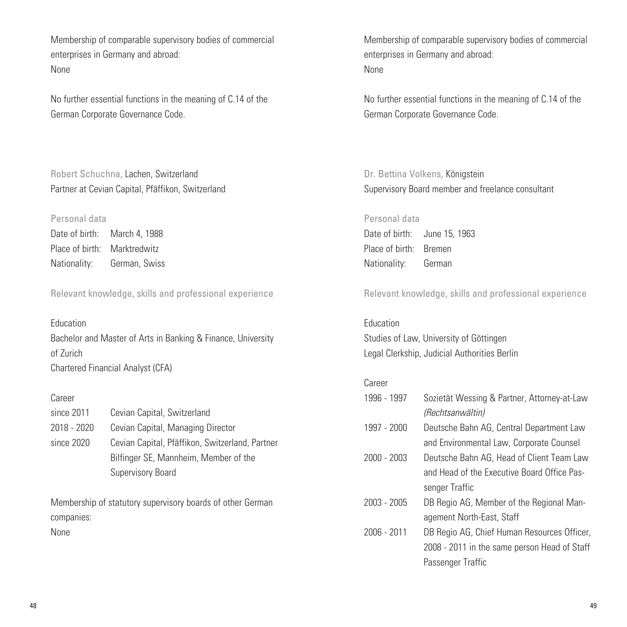Membership of comparable supervisory bodies of commercial enterprises in Germany and abroad: None

No further essential functions in the meaning of C.14 of the German Corporate Governance Code.

Robert Schuchna, Lachen, Switzerland Partner at Cevian Capital, Pfäffikon, Switzerland

#### Personal data

Date of birth: March 4, 1988 Place of birth: Marktredwitz Nationality: German, Swiss

Relevant knowledge, skills and professional experience

#### Education

Bachelor and Master of Arts in Banking & Finance, University of Zurich Chartered Financial Analyst (CFA)

#### Career

| since 2011  | Cevian Capital, Switzerland                     |
|-------------|-------------------------------------------------|
| 2018 - 2020 | Cevian Capital, Managing Director               |
| since 2020  | Cevian Capital, Pfäffikon, Switzerland, Partner |
|             | Bilfinger SE, Mannheim, Member of the           |
|             | Supervisory Board                               |

Membership of statutory supervisory boards of other German companies:

None

Membership of comparable supervisory bodies of commercial enterprises in Germany and abroad: None

No further essential functions in the meaning of C.14 of the German Corporate Governance Code.

Dr. Bettina Volkens, Königstein Supervisory Board member and freelance consultant

Personal data Date of birth: June 15, 1963 Place of birth: Bremen Nationality: German

Relevant knowledge, skills and professional experience

Education Studies of Law, University of Göttingen Legal Clerkship, Judicial Authorities Berlin

#### Career

- 1996 1997 Sozietät Wessing & Partner, Attorney-at-Law *(Rechtsanwältin)*
- 1997 2000 Deutsche Bahn AG, Central Department Law and Environmental Law, Corporate Counsel
- 2000 2003 Deutsche Bahn AG, Head of Client Team Law and Head of the Executive Board Office Passenger Traffic
- 2003 2005 DB Regio AG, Member of the Regional Management North-East, Staff
- 2006 2011 DB Regio AG, Chief Human Resources Officer, 2008 - 2011 in the same person Head of Staff Passenger Traffic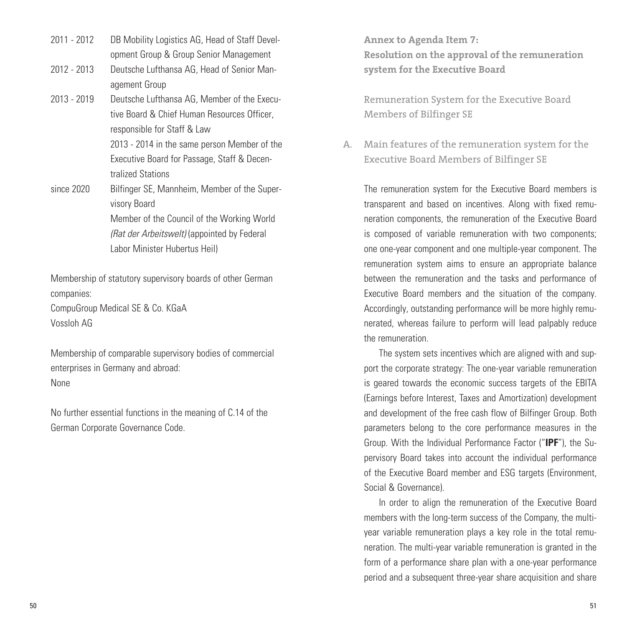- 2011 2012 DB Mobility Logistics AG, Head of Staff Development Group & Group Senior Management
- 2012 2013 Deutsche Lufthansa AG, Head of Senior Management Group
- 2013 2019 Deutsche Lufthansa AG, Member of the Executive Board & Chief Human Resources Officer, responsible for Staff & Law 2013 - 2014 in the same person Member of the Executive Board for Passage, Staff & Decentralized Stations
- since 2020 Bilfinger SE, Mannheim, Member of the Supervisory Board Member of the Council of the Working World *(Rat der Arbeitswelt)* (appointed by Federal Labor Minister Hubertus Heil)

Membership of statutory supervisory boards of other German companies:

CompuGroup Medical SE & Co. KGaA Vossloh AG

Membership of comparable supervisory bodies of commercial enterprises in Germany and abroad: None

No further essential functions in the meaning of C.14 of the German Corporate Governance Code.

**Annex to Agenda Item 7: Resolution on the approval of the remuneration system for the Executive Board**

Remuneration System for the Executive Board Members of Bilfinger SE

Main features of the remuneration system for the A. Executive Board Members of Bilfinger SE

The remuneration system for the Executive Board members is transparent and based on incentives. Along with fixed remuneration components, the remuneration of the Executive Board is composed of variable remuneration with two components; one one-year component and one multiple-year component. The remuneration system aims to ensure an appropriate balance between the remuneration and the tasks and performance of Executive Board members and the situation of the company. Accordingly, outstanding performance will be more highly remunerated, whereas failure to perform will lead palpably reduce the remuneration.

The system sets incentives which are aligned with and support the corporate strategy: The one-year variable remuneration is geared towards the economic success targets of the EBITA (Earnings before Interest, Taxes and Amortization) development and development of the free cash flow of Bilfinger Group. Both parameters belong to the core performance measures in the Group. With the Individual Performance Factor ("**IPF**"), the Supervisory Board takes into account the individual performance of the Executive Board member and ESG targets (Environment, Social & Governance).

In order to align the remuneration of the Executive Board members with the long-term success of the Company, the multiyear variable remuneration plays a key role in the total remuneration. The multi-year variable remuneration is granted in the form of a performance share plan with a one-year performance period and a subsequent three-year share acquisition and share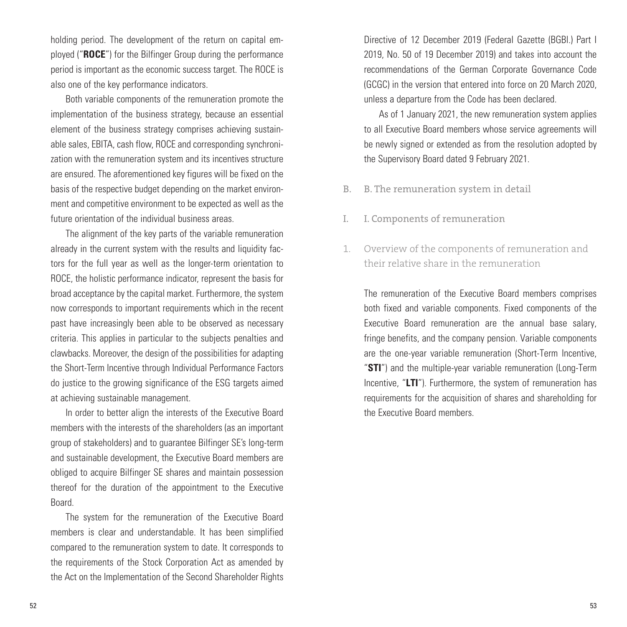holding period. The development of the return on capital employed ("**ROCE**") for the Bilfinger Group during the performance period is important as the economic success target. The ROCE is also one of the key performance indicators.

Both variable components of the remuneration promote the implementation of the business strategy, because an essential element of the business strategy comprises achieving sustainable sales, EBITA, cash flow, ROCE and corresponding synchronization with the remuneration system and its incentives structure are ensured. The aforementioned key figures will be fixed on the basis of the respective budget depending on the market environment and competitive environment to be expected as well as the future orientation of the individual business areas.

The alignment of the key parts of the variable remuneration already in the current system with the results and liquidity factors for the full year as well as the longer-term orientation to ROCE, the holistic performance indicator, represent the basis for broad acceptance by the capital market. Furthermore, the system now corresponds to important requirements which in the recent past have increasingly been able to be observed as necessary criteria. This applies in particular to the subjects penalties and clawbacks. Moreover, the design of the possibilities for adapting the Short-Term Incentive through Individual Performance Factors do justice to the growing significance of the ESG targets aimed at achieving sustainable management.

In order to better align the interests of the Executive Board members with the interests of the shareholders (as an important group of stakeholders) and to guarantee Bilfinger SE's long-term and sustainable development, the Executive Board members are obliged to acquire Bilfinger SE shares and maintain possession thereof for the duration of the appointment to the Executive Board.

The system for the remuneration of the Executive Board members is clear and understandable. It has been simplified compared to the remuneration system to date. It corresponds to the requirements of the Stock Corporation Act as amended by the Act on the Implementation of the Second Shareholder Rights Directive of 12 December 2019 (Federal Gazette (BGBl.) Part I 2019, No. 50 of 19 December 2019) and takes into account the recommendations of the German Corporate Governance Code (GCGC) in the version that entered into force on 20 March 2020, unless a departure from the Code has been declared.

As of 1 January 2021, the new remuneration system applies to all Executive Board members whose service agreements will be newly signed or extended as from the resolution adopted by the Supervisory Board dated 9 February 2021.

- B. The remuneration system in detail B.
- I. Components of remuneration I.
- Overview of the components of remuneration and their relative share in the remuneration 1.

The remuneration of the Executive Board members comprises both fixed and variable components. Fixed components of the Executive Board remuneration are the annual base salary, fringe benefits, and the company pension. Variable components are the one-year variable remuneration (Short-Term Incentive, "**STI**") and the multiple-year variable remuneration (Long-Term Incentive, "**LTI**"). Furthermore, the system of remuneration has requirements for the acquisition of shares and shareholding for the Executive Board members.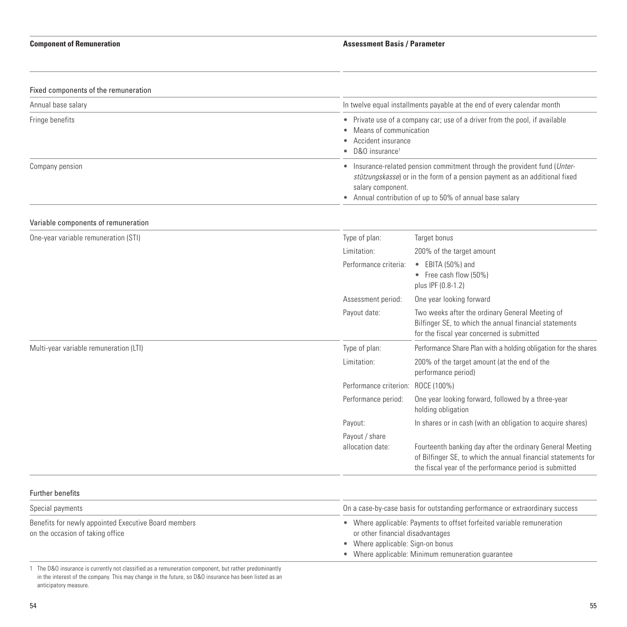| Fixed components of the remuneration                                                     |                                                                                                                                                                                                                                          |                                                                                                                                                                                                     |  |
|------------------------------------------------------------------------------------------|------------------------------------------------------------------------------------------------------------------------------------------------------------------------------------------------------------------------------------------|-----------------------------------------------------------------------------------------------------------------------------------------------------------------------------------------------------|--|
| Annual base salary                                                                       |                                                                                                                                                                                                                                          | In twelve equal installments payable at the end of every calendar month                                                                                                                             |  |
| Fringe benefits                                                                          | D&O insurance <sup>1</sup>                                                                                                                                                                                                               | • Private use of a company car; use of a driver from the pool, if available<br>Means of communication<br>Accident insurance                                                                         |  |
| Company pension                                                                          | • Insurance-related pension commitment through the provident fund (Unter-<br>stützungskasse) or in the form of a pension payment as an additional fixed<br>salary component.<br>• Annual contribution of up to 50% of annual base salary |                                                                                                                                                                                                     |  |
| Variable components of remuneration                                                      |                                                                                                                                                                                                                                          |                                                                                                                                                                                                     |  |
| One-year variable remuneration (STI)                                                     | Type of plan:                                                                                                                                                                                                                            | Target bonus                                                                                                                                                                                        |  |
|                                                                                          | Limitation:                                                                                                                                                                                                                              | 200% of the target amount                                                                                                                                                                           |  |
|                                                                                          | Performance criteria:                                                                                                                                                                                                                    | $\bullet$ EBITA (50%) and<br>• Free cash flow (50%)<br>plus IPF (0.8-1.2)                                                                                                                           |  |
|                                                                                          | Assessment period:                                                                                                                                                                                                                       | One year looking forward                                                                                                                                                                            |  |
|                                                                                          | Payout date:                                                                                                                                                                                                                             | Two weeks after the ordinary General Meeting of<br>Bilfinger SE, to which the annual financial statements<br>for the fiscal year concerned is submitted                                             |  |
| Multi-year variable remuneration (LTI)                                                   | Type of plan:                                                                                                                                                                                                                            | Performance Share Plan with a holding obligation for the shares                                                                                                                                     |  |
|                                                                                          | Limitation:                                                                                                                                                                                                                              | 200% of the target amount (at the end of the<br>performance period)                                                                                                                                 |  |
|                                                                                          | Performance criterion: ROCE (100%)                                                                                                                                                                                                       |                                                                                                                                                                                                     |  |
|                                                                                          | Performance period:                                                                                                                                                                                                                      | One year looking forward, followed by a three-year<br>holding obligation                                                                                                                            |  |
|                                                                                          | Payout:                                                                                                                                                                                                                                  | In shares or in cash (with an obligation to acquire shares)                                                                                                                                         |  |
|                                                                                          | Payout / share<br>allocation date:                                                                                                                                                                                                       | Fourteenth banking day after the ordinary General Meeting<br>of Bilfinger SE, to which the annual financial statements for<br>the fiscal year of the performance period is submitted                |  |
| <b>Further benefits</b>                                                                  |                                                                                                                                                                                                                                          |                                                                                                                                                                                                     |  |
| Special payments                                                                         |                                                                                                                                                                                                                                          | On a case-by-case basis for outstanding performance or extraordinary success                                                                                                                        |  |
| Benefits for newly appointed Executive Board members<br>on the occasion of taking office |                                                                                                                                                                                                                                          | • Where applicable: Payments to offset forfeited variable remuneration<br>or other financial disadvantages<br>Where applicable: Sign-on bonus<br>• Where applicable: Minimum remuneration guarantee |  |

1 The D&O insurance is currently not classified as a remuneration component, but rather predominantly in the interest of the company. This may change in the future, so D&O insurance has been listed as an anticipatory measure.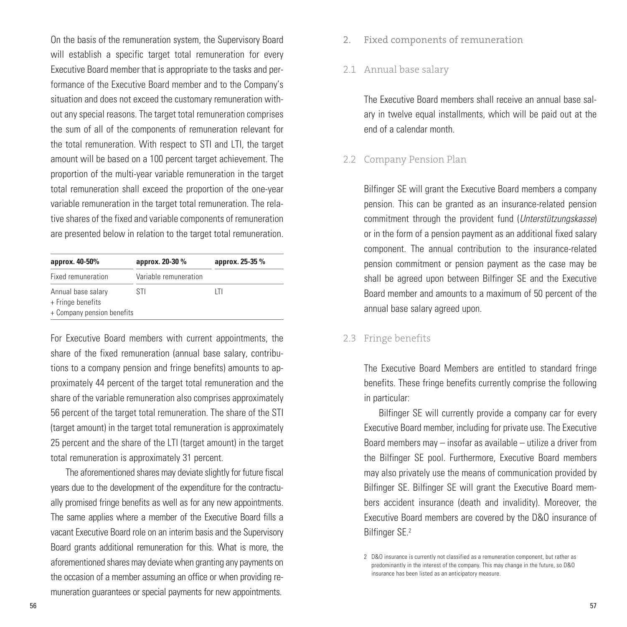On the basis of the remuneration system, the Supervisory Board will establish a specific target total remuneration for every Executive Board member that is appropriate to the tasks and performance of the Executive Board member and to the Company's situation and does not exceed the customary remuneration without any special reasons. The target total remuneration comprises the sum of all of the components of remuneration relevant for the total remuneration. With respect to STI and LTI, the target amount will be based on a 100 percent target achievement. The proportion of the multi-year variable remuneration in the target total remuneration shall exceed the proportion of the one-year variable remuneration in the target total remuneration. The relative shares of the fixed and variable components of remuneration are presented below in relation to the target total remuneration.

| approx. 40-50%                                                        | approx. 20-30 %       | approx. 25-35 % |
|-----------------------------------------------------------------------|-----------------------|-----------------|
| Fixed remuneration                                                    | Variable remuneration |                 |
| Annual base salary<br>+ Fringe benefits<br>+ Company pension benefits | STI<br>ΙTΙ            |                 |

For Executive Board members with current appointments, the share of the fixed remuneration (annual base salary, contributions to a company pension and fringe benefits) amounts to approximately 44 percent of the target total remuneration and the share of the variable remuneration also comprises approximately 56 percent of the target total remuneration. The share of the STI (target amount) in the target total remuneration is approximately 25 percent and the share of the LTI (target amount) in the target total remuneration is approximately 31 percent.

The aforementioned shares may deviate slightly for future fiscal years due to the development of the expenditure for the contractually promised fringe benefits as well as for any new appointments. The same applies where a member of the Executive Board fills a vacant Executive Board role on an interim basis and the Supervisory Board grants additional remuneration for this. What is more, the aforementioned shares may deviate when granting any payments on the occasion of a member assuming an office or when providing remuneration guarantees or special payments for new appointments.

Fixed components of remuneration 2.

#### Annual base salary 2.1

The Executive Board members shall receive an annual base salary in twelve equal installments, which will be paid out at the end of a calendar month.

#### 2.2 Company Pension Plan

Bilfinger SE will grant the Executive Board members a company pension. This can be granted as an insurance-related pension commitment through the provident fund (*Unterstützungskasse*) or in the form of a pension payment as an additional fixed salary component. The annual contribution to the insurance-related pension commitment or pension payment as the case may be shall be agreed upon between Bilfinger SE and the Executive Board member and amounts to a maximum of 50 percent of the annual base salary agreed upon.

#### 2.3 Fringe benefits

The Executive Board Members are entitled to standard fringe benefits. These fringe benefits currently comprise the following in particular:

Bilfinger SE will currently provide a company car for every Executive Board member, including for private use. The Executive Board members may – insofar as available – utilize a driver from the Bilfinger SE pool. Furthermore, Executive Board members may also privately use the means of communication provided by Bilfinger SE. Bilfinger SE will grant the Executive Board members accident insurance (death and invalidity). Moreover, the Executive Board members are covered by the D&O insurance of Bilfinger SE.2

<sup>2</sup> D&O insurance is currently not classified as a remuneration component, but rather as predominantly in the interest of the company. This may change in the future, so D&O insurance has been listed as an anticipatory measure.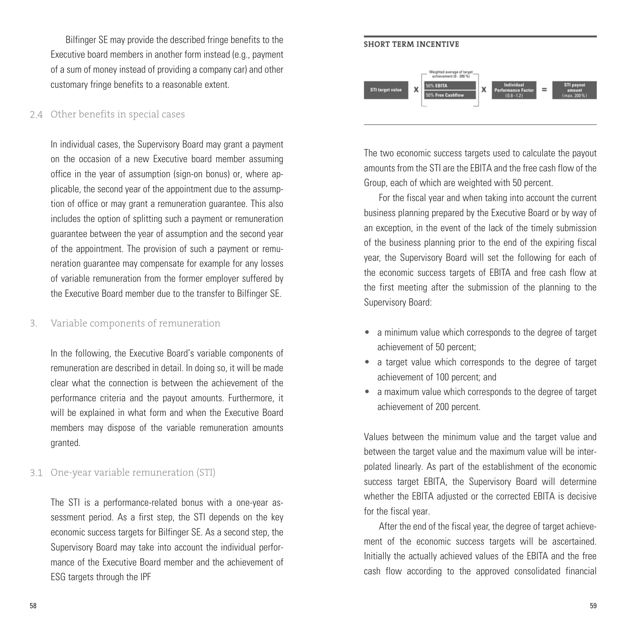Bilfinger SE may provide the described fringe benefits to the Executive board members in another form instead (e.g., payment of a sum of money instead of providing a company car) and other customary fringe benefits to a reasonable extent.

#### 2.4 Other benefits in special cases

In individual cases, the Supervisory Board may grant a payment on the occasion of a new Executive board member assuming office in the year of assumption (sign-on bonus) or, where applicable, the second year of the appointment due to the assumption of office or may grant a remuneration guarantee. This also includes the option of splitting such a payment or remuneration guarantee between the year of assumption and the second year of the appointment. The provision of such a payment or remuneration guarantee may compensate for example for any losses of variable remuneration from the former employer suffered by the Executive Board member due to the transfer to Bilfinger SE.

#### Variable components of remuneration 3.

In the following, the Executive Board's variable components of remuneration are described in detail. In doing so, it will be made clear what the connection is between the achievement of the performance criteria and the payout amounts. Furthermore, it will be explained in what form and when the Executive Board members may dispose of the variable remuneration amounts granted.

#### One-year variable remuneration (STI) 3.1

The STI is a performance-related bonus with a one-year assessment period. As a first step, the STI depends on the key economic success targets for Bilfinger SE. As a second step, the Supervisory Board may take into account the individual performance of the Executive Board member and the achievement of ESG targets through the IPF



The two economic success targets used to calculate the payout amounts from the STI are the EBITA and the free cash flow of the Group, each of which are weighted with 50 percent.

For the fiscal year and when taking into account the current business planning prepared by the Executive Board or by way of an exception, in the event of the lack of the timely submission of the business planning prior to the end of the expiring fiscal year, the Supervisory Board will set the following for each of the economic success targets of EBITA and free cash flow at the first meeting after the submission of the planning to the Supervisory Board:

- a minimum value which corresponds to the degree of target achievement of 50 percent;
- a target value which corresponds to the degree of target achievement of 100 percent; and
- a maximum value which corresponds to the degree of target achievement of 200 percent.

Values between the minimum value and the target value and between the target value and the maximum value will be interpolated linearly. As part of the establishment of the economic success target EBITA, the Supervisory Board will determine whether the EBITA adjusted or the corrected EBITA is decisive for the fiscal year.

After the end of the fiscal year, the degree of target achievement of the economic success targets will be ascertained. Initially the actually achieved values of the EBITA and the free cash flow according to the approved consolidated financial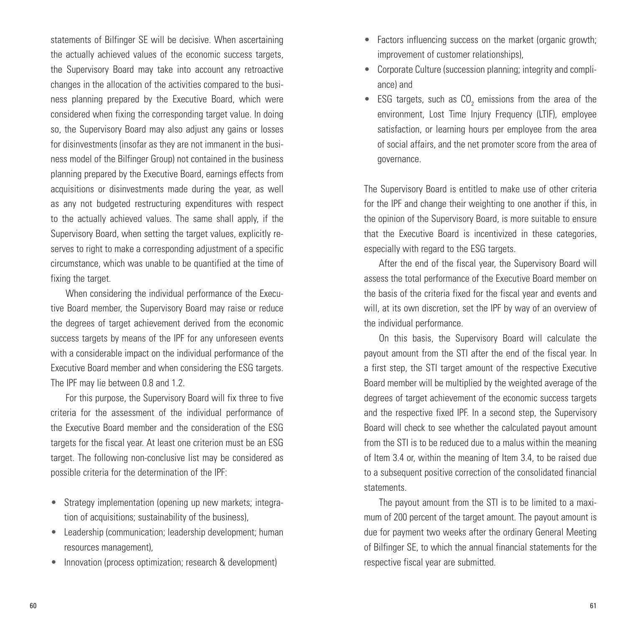statements of Bilfinger SE will be decisive. When ascertaining the actually achieved values of the economic success targets, the Supervisory Board may take into account any retroactive changes in the allocation of the activities compared to the business planning prepared by the Executive Board, which were considered when fixing the corresponding target value. In doing so, the Supervisory Board may also adjust any gains or losses for disinvestments (insofar as they are not immanent in the business model of the Bilfinger Group) not contained in the business planning prepared by the Executive Board, earnings effects from acquisitions or disinvestments made during the year, as well as any not budgeted restructuring expenditures with respect to the actually achieved values. The same shall apply, if the Supervisory Board, when setting the target values, explicitly reserves to right to make a corresponding adjustment of a specific circumstance, which was unable to be quantified at the time of fixing the target.

When considering the individual performance of the Executive Board member, the Supervisory Board may raise or reduce the degrees of target achievement derived from the economic success targets by means of the IPF for any unforeseen events with a considerable impact on the individual performance of the Executive Board member and when considering the ESG targets. The IPF may lie between 0.8 and 1.2.

For this purpose, the Supervisory Board will fix three to five criteria for the assessment of the individual performance of the Executive Board member and the consideration of the ESG targets for the fiscal year. At least one criterion must be an ESG target. The following non-conclusive list may be considered as possible criteria for the determination of the IPF:

- Strategy implementation (opening up new markets; integration of acquisitions; sustainability of the business),
- Leadership (communication; leadership development; human resources management),
- Innovation (process optimization; research & development)
- Factors influencing success on the market (organic growth; improvement of customer relationships),
- Corporate Culture (succession planning; integrity and compliance) and
- ESG targets, such as  $CO<sub>2</sub>$  emissions from the area of the environment, Lost Time Injury Frequency (LTIF), employee satisfaction, or learning hours per employee from the area of social affairs, and the net promoter score from the area of governance.

The Supervisory Board is entitled to make use of other criteria for the IPF and change their weighting to one another if this, in the opinion of the Supervisory Board, is more suitable to ensure that the Executive Board is incentivized in these categories, especially with regard to the ESG targets.

After the end of the fiscal year, the Supervisory Board will assess the total performance of the Executive Board member on the basis of the criteria fixed for the fiscal year and events and will, at its own discretion, set the IPF by way of an overview of the individual performance.

On this basis, the Supervisory Board will calculate the payout amount from the STI after the end of the fiscal year. In a first step, the STI target amount of the respective Executive Board member will be multiplied by the weighted average of the degrees of target achievement of the economic success targets and the respective fixed IPF. In a second step, the Supervisory Board will check to see whether the calculated payout amount from the STI is to be reduced due to a malus within the meaning of Item 3.4 or, within the meaning of Item 3.4, to be raised due to a subsequent positive correction of the consolidated financial statements.

The payout amount from the STI is to be limited to a maximum of 200 percent of the target amount. The payout amount is due for payment two weeks after the ordinary General Meeting of Bilfinger SE, to which the annual financial statements for the respective fiscal year are submitted.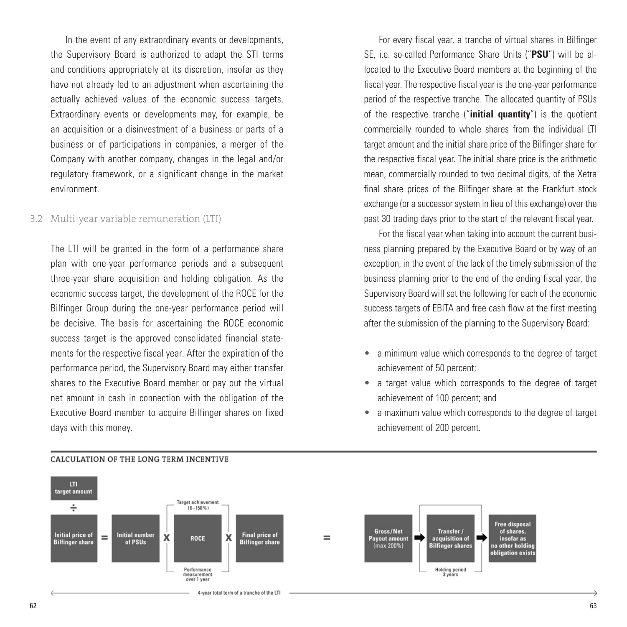In the event of any extraordinary events or developments, the Supervisory Board is authorized to adapt the STI terms and conditions appropriately at its discretion, insofar as they have not already led to an adjustment when ascertaining the actually achieved values of the economic success targets. Extraordinary events or developments may, for example, be an acquisition or a disinvestment of a business or parts of a business or of participations in companies, a merger of the Company with another company, changes in the legal and/or regulatory framework, or a significant change in the market environment.

#### Multi-year variable remuneration (LTI) 3.2

The LTI will be granted in the form of a performance share plan with one-year performance periods and a subsequent three-year share acquisition and holding obligation. As the economic success target, the development of the ROCE for the Bilfinger Group during the one-year performance period will be decisive. The basis for ascertaining the ROCE economic success target is the approved consolidated financial statements for the respective fiscal year. After the expiration of the performance period, the Supervisory Board may either transfer shares to the Executive Board member or pay out the virtual net amount in cash in connection with the obligation of the Executive Board member to acquire Bilfinger shares on fixed days with this money.

For every fiscal year, a tranche of virtual shares in Bilfinger SE, i.e. so-called Performance Share Units ("**PSU**") will be allocated to the Executive Board members at the beginning of the fiscal year. The respective fiscal year is the one-year performance period of the respective tranche. The allocated quantity of PSUs of the respective tranche ("**initial quantity**") is the quotient commercially rounded to whole shares from the individual LTI target amount and the initial share price of the Bilfinger share for the respective fiscal year. The initial share price is the arithmetic mean, commercially rounded to two decimal digits, of the Xetra final share prices of the Bilfinger share at the Frankfurt stock exchange (or a successor system in lieu of this exchange) over the past 30 trading days prior to the start of the relevant fiscal year.

For the fiscal year when taking into account the current business planning prepared by the Executive Board or by way of an exception, in the event of the lack of the timely submission of the business planning prior to the end of the ending fiscal year, the Supervisory Board will set the following for each of the economic success targets of EBITA and free cash flow at the first meeting after the submission of the planning to the Supervisory Board:

- a minimum value which corresponds to the degree of target achievement of 50 percent;
- a target value which corresponds to the degree of target achievement of 100 percent; and
- a maximum value which corresponds to the degree of target achievement of 200 percent.



#### CALCULATION OF THE LONG TERM INCENTIVE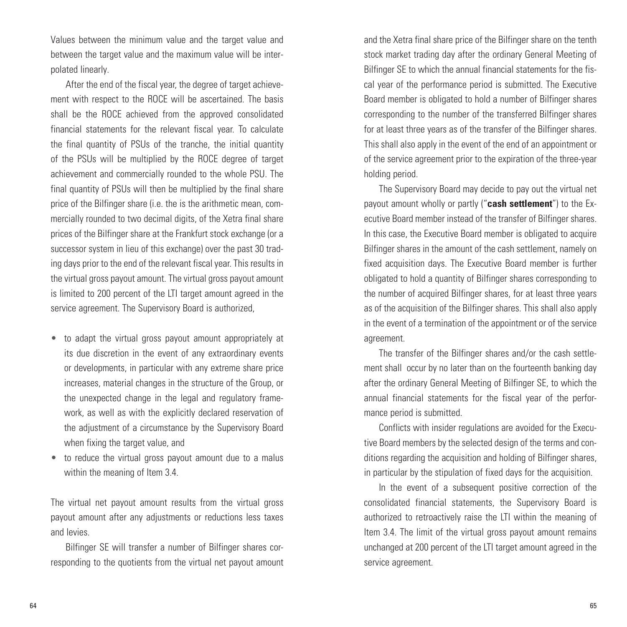Values between the minimum value and the target value and between the target value and the maximum value will be interpolated linearly.

After the end of the fiscal year, the degree of target achievement with respect to the ROCE will be ascertained. The basis shall be the ROCE achieved from the approved consolidated financial statements for the relevant fiscal year. To calculate the final quantity of PSUs of the tranche, the initial quantity of the PSUs will be multiplied by the ROCE degree of target achievement and commercially rounded to the whole PSU. The final quantity of PSUs will then be multiplied by the final share price of the Bilfinger share (i.e. the is the arithmetic mean, commercially rounded to two decimal digits, of the Xetra final share prices of the Bilfinger share at the Frankfurt stock exchange (or a successor system in lieu of this exchange) over the past 30 trading days prior to the end of the relevant fiscal year. This results in the virtual gross payout amount. The virtual gross payout amount is limited to 200 percent of the LTI target amount agreed in the service agreement. The Supervisory Board is authorized,

- to adapt the virtual gross payout amount appropriately at its due discretion in the event of any extraordinary events or developments, in particular with any extreme share price increases, material changes in the structure of the Group, or the unexpected change in the legal and regulatory framework, as well as with the explicitly declared reservation of the adjustment of a circumstance by the Supervisory Board when fixing the target value, and
- to reduce the virtual gross payout amount due to a malus within the meaning of Item 3.4.

The virtual net payout amount results from the virtual gross payout amount after any adjustments or reductions less taxes and levies.

Bilfinger SE will transfer a number of Bilfinger shares corresponding to the quotients from the virtual net payout amount and the Xetra final share price of the Bilfinger share on the tenth stock market trading day after the ordinary General Meeting of Bilfinger SE to which the annual financial statements for the fiscal year of the performance period is submitted. The Executive Board member is obligated to hold a number of Bilfinger shares corresponding to the number of the transferred Bilfinger shares for at least three years as of the transfer of the Bilfinger shares. This shall also apply in the event of the end of an appointment or of the service agreement prior to the expiration of the three-year holding period.

The Supervisory Board may decide to pay out the virtual net payout amount wholly or partly ("**cash settlement**") to the Executive Board member instead of the transfer of Bilfinger shares. In this case, the Executive Board member is obligated to acquire Bilfinger shares in the amount of the cash settlement, namely on fixed acquisition days. The Executive Board member is further obligated to hold a quantity of Bilfinger shares corresponding to the number of acquired Bilfinger shares, for at least three years as of the acquisition of the Bilfinger shares. This shall also apply in the event of a termination of the appointment or of the service agreement.

The transfer of the Bilfinger shares and/or the cash settlement shall occur by no later than on the fourteenth banking day after the ordinary General Meeting of Bilfinger SE, to which the annual financial statements for the fiscal year of the performance period is submitted.

Conflicts with insider regulations are avoided for the Executive Board members by the selected design of the terms and conditions regarding the acquisition and holding of Bilfinger shares, in particular by the stipulation of fixed days for the acquisition.

In the event of a subsequent positive correction of the consolidated financial statements, the Supervisory Board is authorized to retroactively raise the LTI within the meaning of Item 3.4. The limit of the virtual gross payout amount remains unchanged at 200 percent of the LTI target amount agreed in the service agreement.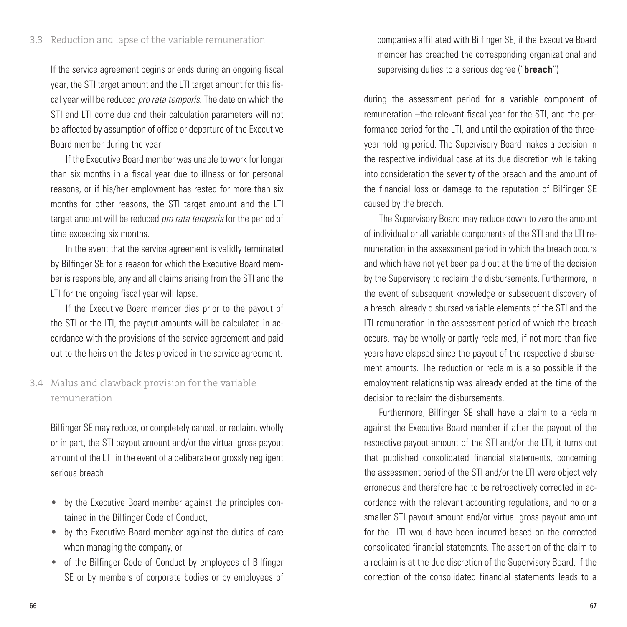If the service agreement begins or ends during an ongoing fiscal year, the STI target amount and the LTI target amount for this fiscal year will be reduced *pro rata temporis*. The date on which the STI and LTI come due and their calculation parameters will not be affected by assumption of office or departure of the Executive Board member during the year.

If the Executive Board member was unable to work for longer than six months in a fiscal year due to illness or for personal reasons, or if his/her employment has rested for more than six months for other reasons, the STI target amount and the LTI target amount will be reduced *pro rata temporis* for the period of time exceeding six months.

In the event that the service agreement is validly terminated by Bilfinger SE for a reason for which the Executive Board member is responsible, any and all claims arising from the STI and the LTI for the ongoing fiscal year will lapse.

If the Executive Board member dies prior to the payout of the STI or the LTI, the payout amounts will be calculated in accordance with the provisions of the service agreement and paid out to the heirs on the dates provided in the service agreement.

## Malus and clawback provision for the variable 3.4 remuneration

Bilfinger SE may reduce, or completely cancel, or reclaim, wholly or in part, the STI payout amount and/or the virtual gross payout amount of the LTI in the event of a deliberate or grossly negligent serious breach

- by the Executive Board member against the principles contained in the Bilfinger Code of Conduct,
- by the Executive Board member against the duties of care when managing the company, or
- of the Bilfinger Code of Conduct by employees of Bilfinger SE or by members of corporate bodies or by employees of

companies affiliated with Bilfinger SE, if the Executive Board member has breached the corresponding organizational and supervising duties to a serious degree ("**breach**")

during the assessment period for a variable component of remuneration –the relevant fiscal year for the STI, and the performance period for the LTI, and until the expiration of the threeyear holding period. The Supervisory Board makes a decision in the respective individual case at its due discretion while taking into consideration the severity of the breach and the amount of the financial loss or damage to the reputation of Bilfinger SE caused by the breach.

The Supervisory Board may reduce down to zero the amount of individual or all variable components of the STI and the LTI remuneration in the assessment period in which the breach occurs and which have not yet been paid out at the time of the decision by the Supervisory to reclaim the disbursements. Furthermore, in the event of subsequent knowledge or subsequent discovery of a breach, already disbursed variable elements of the STI and the LTI remuneration in the assessment period of which the breach occurs, may be wholly or partly reclaimed, if not more than five years have elapsed since the payout of the respective disbursement amounts. The reduction or reclaim is also possible if the employment relationship was already ended at the time of the decision to reclaim the disbursements.

Furthermore, Bilfinger SE shall have a claim to a reclaim against the Executive Board member if after the payout of the respective payout amount of the STI and/or the LTI, it turns out that published consolidated financial statements, concerning the assessment period of the STI and/or the LTI were objectively erroneous and therefore had to be retroactively corrected in accordance with the relevant accounting regulations, and no or a smaller STI payout amount and/or virtual gross payout amount for the LTI would have been incurred based on the corrected consolidated financial statements. The assertion of the claim to a reclaim is at the due discretion of the Supervisory Board. If the correction of the consolidated financial statements leads to a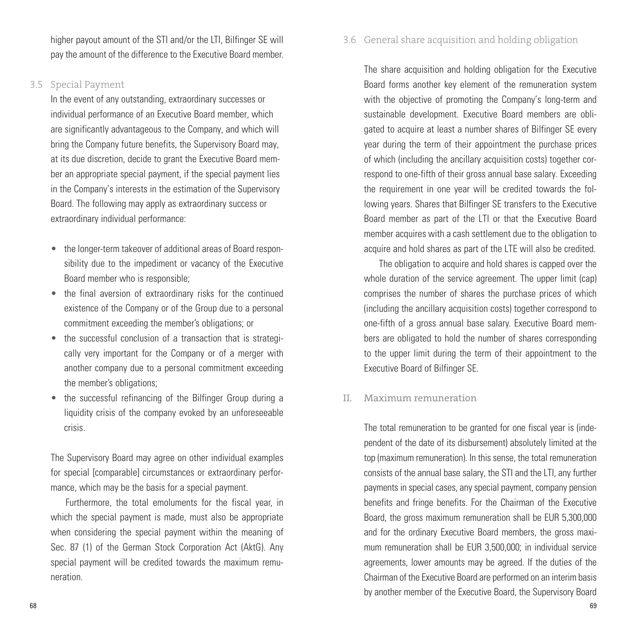higher payout amount of the STI and/or the LTI, Bilfinger SE will pay the amount of the difference to the Executive Board member.

### Special Payment 3.5

In the event of any outstanding, extraordinary successes or individual performance of an Executive Board member, which are significantly advantageous to the Company, and which will bring the Company future benefits, the Supervisory Board may, at its due discretion, decide to grant the Executive Board member an appropriate special payment, if the special payment lies in the Company's interests in the estimation of the Supervisory Board. The following may apply as extraordinary success or extraordinary individual performance:

- the longer-term takeover of additional areas of Board responsibility due to the impediment or vacancy of the Executive Board member who is responsible;
- the final aversion of extraordinary risks for the continued existence of the Company or of the Group due to a personal commitment exceeding the member's obligations; or
- the successful conclusion of a transaction that is strategically very important for the Company or of a merger with another company due to a personal commitment exceeding the member's obligations;
- the successful refinancing of the Bilfinger Group during a liquidity crisis of the company evoked by an unforeseeable crisis.

The Supervisory Board may agree on other individual examples for special [comparable] circumstances or extraordinary performance, which may be the basis for a special payment.

Furthermore, the total emoluments for the fiscal year, in which the special payment is made, must also be appropriate when considering the special payment within the meaning of Sec. 87 (1) of the German Stock Corporation Act (AktG). Any special payment will be credited towards the maximum remuneration.

#### General share acquisition and holding obligation 3.6

The share acquisition and holding obligation for the Executive Board forms another key element of the remuneration system with the objective of promoting the Company's long-term and sustainable development. Executive Board members are obligated to acquire at least a number shares of Bilfinger SE every year during the term of their appointment the purchase prices of which (including the ancillary acquisition costs) together correspond to one-fifth of their gross annual base salary. Exceeding the requirement in one year will be credited towards the following years. Shares that Bilfinger SE transfers to the Executive Board member as part of the LTI or that the Executive Board member acquires with a cash settlement due to the obligation to acquire and hold shares as part of the LTE will also be credited.

The obligation to acquire and hold shares is capped over the whole duration of the service agreement. The upper limit (cap) comprises the number of shares the purchase prices of which (including the ancillary acquisition costs) together correspond to one-fifth of a gross annual base salary. Executive Board members are obligated to hold the number of shares corresponding to the upper limit during the term of their appointment to the Executive Board of Bilfinger SE.

#### Maximum remuneration II.

The total remuneration to be granted for one fiscal year is (independent of the date of its disbursement) absolutely limited at the top (maximum remuneration). In this sense, the total remuneration consists of the annual base salary, the STI and the LTI, any further payments in special cases, any special payment, company pension benefits and fringe benefits. For the Chairman of the Executive Board, the gross maximum remuneration shall be EUR 5,300,000 and for the ordinary Executive Board members, the gross maximum remuneration shall be EUR 3,500,000; in individual service agreements, lower amounts may be agreed. If the duties of the Chairman of the Executive Board are performed on an interim basis by another member of the Executive Board, the Supervisory Board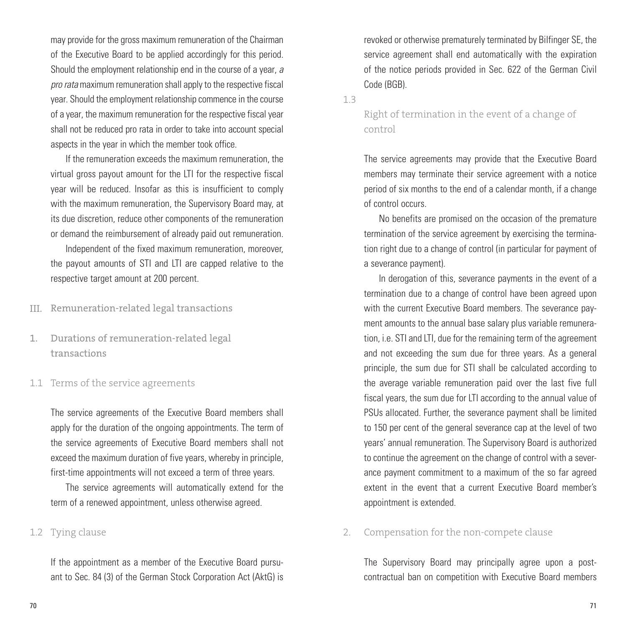may provide for the gross maximum remuneration of the Chairman of the Executive Board to be applied accordingly for this period. Should the employment relationship end in the course of a year, *a pro rata* maximum remuneration shall apply to the respective fiscal year. Should the employment relationship commence in the course of a year, the maximum remuneration for the respective fiscal year shall not be reduced pro rata in order to take into account special aspects in the year in which the member took office.

If the remuneration exceeds the maximum remuneration, the virtual gross payout amount for the LTI for the respective fiscal year will be reduced. Insofar as this is insufficient to comply with the maximum remuneration, the Supervisory Board may, at its due discretion, reduce other components of the remuneration or demand the reimbursement of already paid out remuneration.

Independent of the fixed maximum remuneration, moreover, the payout amounts of STI and LTI are capped relative to the respective target amount at 200 percent.

III. Remuneration-related legal transactions

Durations of remuneration-related legal transactions 1.

1.1 Terms of the service agreements

The service agreements of the Executive Board members shall apply for the duration of the ongoing appointments. The term of the service agreements of Executive Board members shall not exceed the maximum duration of five years, whereby in principle, first-time appointments will not exceed a term of three years.

The service agreements will automatically extend for the term of a renewed appointment, unless otherwise agreed.

#### 1.2 Tying clause

If the appointment as a member of the Executive Board pursuant to Sec. 84 (3) of the German Stock Corporation Act (AktG) is revoked or otherwise prematurely terminated by Bilfinger SE, the service agreement shall end automatically with the expiration of the notice periods provided in Sec. 622 of the German Civil Code (BGB).

1.3

Right of termination in the event of a change of control

The service agreements may provide that the Executive Board members may terminate their service agreement with a notice period of six months to the end of a calendar month, if a change of control occurs.

No benefits are promised on the occasion of the premature termination of the service agreement by exercising the termination right due to a change of control (in particular for payment of a severance payment).

In derogation of this, severance payments in the event of a termination due to a change of control have been agreed upon with the current Executive Board members. The severance payment amounts to the annual base salary plus variable remuneration, i.e. STI and LTI, due for the remaining term of the agreement and not exceeding the sum due for three years. As a general principle, the sum due for STI shall be calculated according to the average variable remuneration paid over the last five full fiscal years, the sum due for LTI according to the annual value of PSUs allocated. Further, the severance payment shall be limited to 150 per cent of the general severance cap at the level of two years' annual remuneration. The Supervisory Board is authorized to continue the agreement on the change of control with a severance payment commitment to a maximum of the so far agreed extent in the event that a current Executive Board member's appointment is extended.

Compensation for the non-compete clause 2.

The Supervisory Board may principally agree upon a postcontractual ban on competition with Executive Board members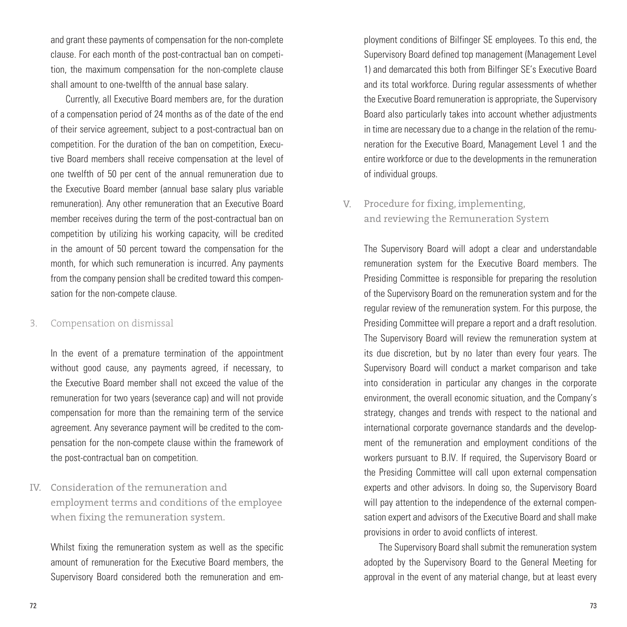and grant these payments of compensation for the non-complete clause. For each month of the post-contractual ban on competition, the maximum compensation for the non-complete clause shall amount to one-twelfth of the annual base salary.

Currently, all Executive Board members are, for the duration of a compensation period of 24 months as of the date of the end of their service agreement, subject to a post-contractual ban on competition. For the duration of the ban on competition, Executive Board members shall receive compensation at the level of one twelfth of 50 per cent of the annual remuneration due to the Executive Board member (annual base salary plus variable remuneration). Any other remuneration that an Executive Board member receives during the term of the post-contractual ban on competition by utilizing his working capacity, will be credited in the amount of 50 percent toward the compensation for the month, for which such remuneration is incurred. Any payments from the company pension shall be credited toward this compensation for the non-compete clause.

#### Compensation on dismissal 3.

In the event of a premature termination of the appointment without good cause, any payments agreed, if necessary, to the Executive Board member shall not exceed the value of the remuneration for two years (severance cap) and will not provide compensation for more than the remaining term of the service agreement. Any severance payment will be credited to the compensation for the non-compete clause within the framework of the post-contractual ban on competition.

IV. Consideration of the remuneration and employment terms and conditions of the employee when fixing the remuneration system.

Whilst fixing the remuneration system as well as the specific amount of remuneration for the Executive Board members, the Supervisory Board considered both the remuneration and employment conditions of Bilfinger SE employees. To this end, the Supervisory Board defined top management (Management Level 1) and demarcated this both from Bilfinger SE's Executive Board and its total workforce. During regular assessments of whether the Executive Board remuneration is appropriate, the Supervisory Board also particularly takes into account whether adjustments in time are necessary due to a change in the relation of the remuneration for the Executive Board, Management Level 1 and the entire workforce or due to the developments in the remuneration of individual groups.

## V. Procedure for fixing, implementing, and reviewing the Remuneration System

The Supervisory Board will adopt a clear and understandable remuneration system for the Executive Board members. The Presiding Committee is responsible for preparing the resolution of the Supervisory Board on the remuneration system and for the regular review of the remuneration system. For this purpose, the Presiding Committee will prepare a report and a draft resolution. The Supervisory Board will review the remuneration system at its due discretion, but by no later than every four years. The Supervisory Board will conduct a market comparison and take into consideration in particular any changes in the corporate environment, the overall economic situation, and the Company's strategy, changes and trends with respect to the national and international corporate governance standards and the development of the remuneration and employment conditions of the workers pursuant to B.IV. If required, the Supervisory Board or the Presiding Committee will call upon external compensation experts and other advisors. In doing so, the Supervisory Board will pay attention to the independence of the external compensation expert and advisors of the Executive Board and shall make provisions in order to avoid conflicts of interest.

The Supervisory Board shall submit the remuneration system adopted by the Supervisory Board to the General Meeting for approval in the event of any material change, but at least every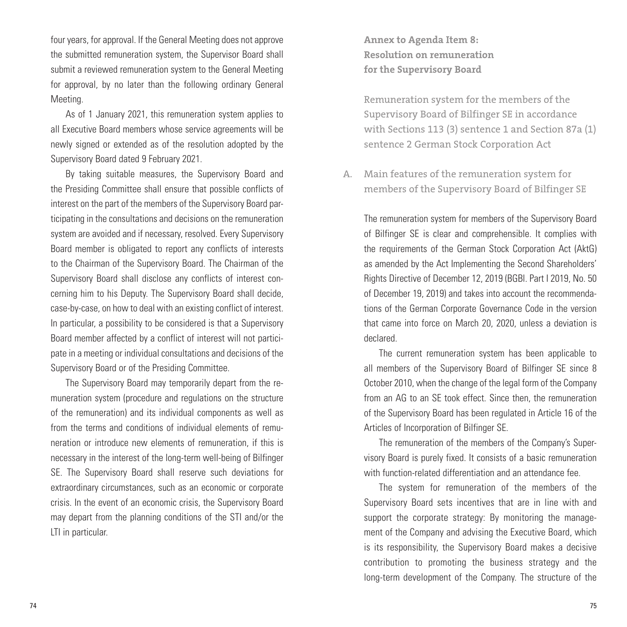four years, for approval. If the General Meeting does not approve the submitted remuneration system, the Supervisor Board shall submit a reviewed remuneration system to the General Meeting for approval, by no later than the following ordinary General Meeting.

As of 1 January 2021, this remuneration system applies to all Executive Board members whose service agreements will be newly signed or extended as of the resolution adopted by the Supervisory Board dated 9 February 2021.

By taking suitable measures, the Supervisory Board and the Presiding Committee shall ensure that possible conflicts of interest on the part of the members of the Supervisory Board participating in the consultations and decisions on the remuneration system are avoided and if necessary, resolved. Every Supervisory Board member is obligated to report any conflicts of interests to the Chairman of the Supervisory Board. The Chairman of the Supervisory Board shall disclose any conflicts of interest concerning him to his Deputy. The Supervisory Board shall decide, case-by-case, on how to deal with an existing conflict of interest. In particular, a possibility to be considered is that a Supervisory Board member affected by a conflict of interest will not participate in a meeting or individual consultations and decisions of the Supervisory Board or of the Presiding Committee.

The Supervisory Board may temporarily depart from the remuneration system (procedure and regulations on the structure of the remuneration) and its individual components as well as from the terms and conditions of individual elements of remuneration or introduce new elements of remuneration, if this is necessary in the interest of the long-term well-being of Bilfinger SE. The Supervisory Board shall reserve such deviations for extraordinary circumstances, such as an economic or corporate crisis. In the event of an economic crisis, the Supervisory Board may depart from the planning conditions of the STI and/or the LTI in particular.

**Annex to Agenda Item 8: Resolution on remuneration for the Supervisory Board**

Remuneration system for the members of the Supervisory Board of Bilfinger SE in accordance with Sections 113 (3) sentence 1 and Section 87a (1) sentence 2 German Stock Corporation Act

Main features of the remuneration system for A. members of the Supervisory Board of Bilfinger SE

The remuneration system for members of the Supervisory Board of Bilfinger SE is clear and comprehensible. It complies with the requirements of the German Stock Corporation Act (AktG) as amended by the Act Implementing the Second Shareholders' Rights Directive of December 12, 2019 (BGBl. Part I 2019, No. 50 of December 19, 2019) and takes into account the recommendations of the German Corporate Governance Code in the version that came into force on March 20, 2020, unless a deviation is declared.

The current remuneration system has been applicable to all members of the Supervisory Board of Bilfinger SE since 8 October 2010, when the change of the legal form of the Company from an AG to an SE took effect. Since then, the remuneration of the Supervisory Board has been regulated in Article 16 of the Articles of Incorporation of Bilfinger SE.

The remuneration of the members of the Company's Supervisory Board is purely fixed. It consists of a basic remuneration with function-related differentiation and an attendance fee.

The system for remuneration of the members of the Supervisory Board sets incentives that are in line with and support the corporate strategy: By monitoring the management of the Company and advising the Executive Board, which is its responsibility, the Supervisory Board makes a decisive contribution to promoting the business strategy and the long-term development of the Company. The structure of the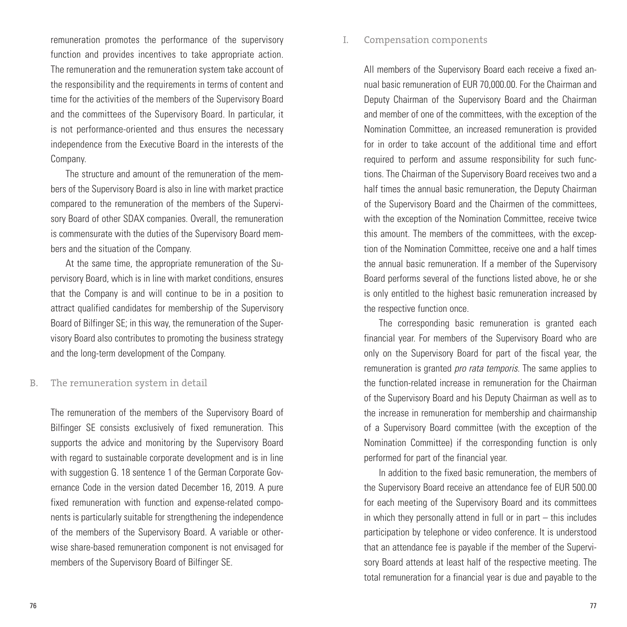remuneration promotes the performance of the supervisory function and provides incentives to take appropriate action. The remuneration and the remuneration system take account of the responsibility and the requirements in terms of content and time for the activities of the members of the Supervisory Board and the committees of the Supervisory Board. In particular, it is not performance-oriented and thus ensures the necessary independence from the Executive Board in the interests of the Company.

The structure and amount of the remuneration of the members of the Supervisory Board is also in line with market practice compared to the remuneration of the members of the Supervisory Board of other SDAX companies. Overall, the remuneration is commensurate with the duties of the Supervisory Board members and the situation of the Company.

At the same time, the appropriate remuneration of the Supervisory Board, which is in line with market conditions, ensures that the Company is and will continue to be in a position to attract qualified candidates for membership of the Supervisory Board of Bilfinger SE; in this way, the remuneration of the Supervisory Board also contributes to promoting the business strategy and the long-term development of the Company.

#### The remuneration system in detail B.

The remuneration of the members of the Supervisory Board of Bilfinger SE consists exclusively of fixed remuneration. This supports the advice and monitoring by the Supervisory Board with regard to sustainable corporate development and is in line with suggestion G. 18 sentence 1 of the German Corporate Governance Code in the version dated December 16, 2019. A pure fixed remuneration with function and expense-related components is particularly suitable for strengthening the independence of the members of the Supervisory Board. A variable or otherwise share-based remuneration component is not envisaged for members of the Supervisory Board of Bilfinger SE.

#### Compensation components I.

All members of the Supervisory Board each receive a fixed annual basic remuneration of EUR 70,000.00. For the Chairman and Deputy Chairman of the Supervisory Board and the Chairman and member of one of the committees, with the exception of the Nomination Committee, an increased remuneration is provided for in order to take account of the additional time and effort required to perform and assume responsibility for such functions. The Chairman of the Supervisory Board receives two and a half times the annual basic remuneration, the Deputy Chairman of the Supervisory Board and the Chairmen of the committees, with the exception of the Nomination Committee, receive twice this amount. The members of the committees, with the exception of the Nomination Committee, receive one and a half times the annual basic remuneration. If a member of the Supervisory Board performs several of the functions listed above, he or she is only entitled to the highest basic remuneration increased by the respective function once.

The corresponding basic remuneration is granted each financial year. For members of the Supervisory Board who are only on the Supervisory Board for part of the fiscal year, the remuneration is granted *pro rata temporis*. The same applies to the function-related increase in remuneration for the Chairman of the Supervisory Board and his Deputy Chairman as well as to the increase in remuneration for membership and chairmanship of a Supervisory Board committee (with the exception of the Nomination Committee) if the corresponding function is only performed for part of the financial year.

In addition to the fixed basic remuneration, the members of the Supervisory Board receive an attendance fee of EUR 500.00 for each meeting of the Supervisory Board and its committees in which they personally attend in full or in part  $-$  this includes participation by telephone or video conference. It is understood that an attendance fee is payable if the member of the Supervisory Board attends at least half of the respective meeting. The total remuneration for a financial year is due and payable to the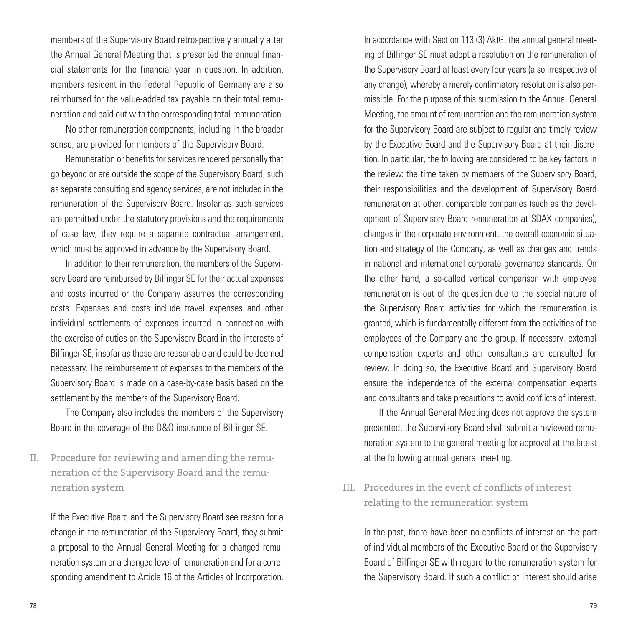members of the Supervisory Board retrospectively annually after the Annual General Meeting that is presented the annual financial statements for the financial year in question. In addition, members resident in the Federal Republic of Germany are also reimbursed for the value-added tax payable on their total remuneration and paid out with the corresponding total remuneration.

No other remuneration components, including in the broader sense, are provided for members of the Supervisory Board.

Remuneration or benefits for services rendered personally that go beyond or are outside the scope of the Supervisory Board, such as separate consulting and agency services, are not included in the remuneration of the Supervisory Board. Insofar as such services are permitted under the statutory provisions and the requirements of case law, they require a separate contractual arrangement, which must be approved in advance by the Supervisory Board.

In addition to their remuneration, the members of the Supervisory Board are reimbursed by Bilfinger SE for their actual expenses and costs incurred or the Company assumes the corresponding costs. Expenses and costs include travel expenses and other individual settlements of expenses incurred in connection with the exercise of duties on the Supervisory Board in the interests of Bilfinger SE, insofar as these are reasonable and could be deemed necessary. The reimbursement of expenses to the members of the Supervisory Board is made on a case-by-case basis based on the settlement by the members of the Supervisory Board.

The Company also includes the members of the Supervisory Board in the coverage of the D&O insurance of Bilfinger SE.

Procedure for reviewing and amending the remuneration of the Supervisory Board and the remuneration system II.

If the Executive Board and the Supervisory Board see reason for a change in the remuneration of the Supervisory Board, they submit a proposal to the Annual General Meeting for a changed remuneration system or a changed level of remuneration and for a corresponding amendment to Article 16 of the Articles of Incorporation.

In accordance with Section 113 (3) AktG, the annual general meeting of Bilfinger SE must adopt a resolution on the remuneration of the Supervisory Board at least every four years (also irrespective of any change), whereby a merely confirmatory resolution is also permissible. For the purpose of this submission to the Annual General Meeting, the amount of remuneration and the remuneration system for the Supervisory Board are subject to regular and timely review by the Executive Board and the Supervisory Board at their discretion. In particular, the following are considered to be key factors in the review: the time taken by members of the Supervisory Board, their responsibilities and the development of Supervisory Board remuneration at other, comparable companies (such as the development of Supervisory Board remuneration at SDAX companies), changes in the corporate environment, the overall economic situation and strategy of the Company, as well as changes and trends in national and international corporate governance standards. On the other hand, a so-called vertical comparison with employee remuneration is out of the question due to the special nature of the Supervisory Board activities for which the remuneration is granted, which is fundamentally different from the activities of the employees of the Company and the group. If necessary, external compensation experts and other consultants are consulted for review. In doing so, the Executive Board and Supervisory Board ensure the independence of the external compensation experts and consultants and take precautions to avoid conflicts of interest.

If the Annual General Meeting does not approve the system presented, the Supervisory Board shall submit a reviewed remuneration system to the general meeting for approval at the latest at the following annual general meeting.

Procedures in the event of conflicts of interest III. relating to the remuneration system

In the past, there have been no conflicts of interest on the part of individual members of the Executive Board or the Supervisory Board of Bilfinger SE with regard to the remuneration system for the Supervisory Board. If such a conflict of interest should arise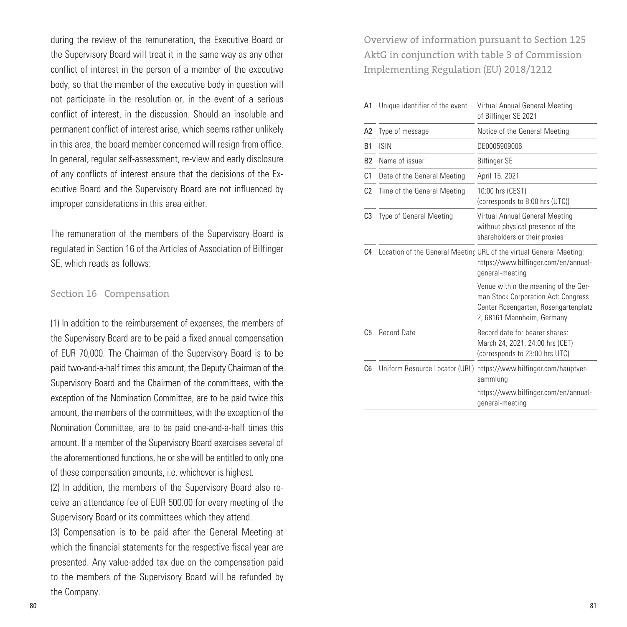during the review of the remuneration, the Executive Board or the Supervisory Board will treat it in the same way as any other conflict of interest in the person of a member of the executive body, so that the member of the executive body in question will not participate in the resolution or, in the event of a serious conflict of interest, in the discussion. Should an insoluble and permanent conflict of interest arise, which seems rather unlikely in this area, the board member concerned will resign from office. In general, regular self-assessment, re-view and early disclosure of any conflicts of interest ensure that the decisions of the Executive Board and the Supervisory Board are not influenced by improper considerations in this area either.

The remuneration of the members of the Supervisory Board is regulated in Section 16 of the Articles of Association of Bilfinger SE, which reads as follows:

#### Section 16 Compensation

(1) In addition to the reimbursement of expenses, the members of the Supervisory Board are to be paid a fixed annual compensation of EUR 70,000. The Chairman of the Supervisory Board is to be paid two-and-a-half times this amount, the Deputy Chairman of the Supervisory Board and the Chairmen of the committees, with the exception of the Nomination Committee, are to be paid twice this amount, the members of the committees, with the exception of the Nomination Committee, are to be paid one-and-a-half times this amount. If a member of the Supervisory Board exercises several of the aforementioned functions, he or she will be entitled to only one of these compensation amounts, i.e. whichever is highest.

(2) In addition, the members of the Supervisory Board also receive an attendance fee of EUR 500.00 for every meeting of the Supervisory Board or its committees which they attend.

(3) Compensation is to be paid after the General Meeting at which the financial statements for the respective fiscal year are presented. Any value-added tax due on the compensation paid to the members of the Supervisory Board will be refunded by the Company.

Overview of information pursuant to Section 125 AktG in conjunction with table 3 of Commission Implementing Regulation (EU) 2018/1212

| A1             | Unique identifier of the event | Virtual Annual General Meeting<br>of Bilfinger SE 2021                                                                                            |
|----------------|--------------------------------|---------------------------------------------------------------------------------------------------------------------------------------------------|
| A2             | Type of message                | Notice of the General Meeting                                                                                                                     |
| B <sub>1</sub> | <b>ISIN</b>                    | DE0005909006                                                                                                                                      |
| B <sub>2</sub> | Name of issuer                 | Bilfinger SE                                                                                                                                      |
| C <sub>1</sub> | Date of the General Meeting    | April 15, 2021                                                                                                                                    |
| C <sub>2</sub> | Time of the General Meeting    | 10:00 hrs (CEST)<br>(corresponds to 8:00 hrs (UTC))                                                                                               |
| C3             | Type of General Meeting        | Virtual Annual General Meeting<br>without physical presence of the<br>shareholders or their proxies                                               |
| C <sub>4</sub> |                                | Location of the General Meeting URL of the virtual General Meeting:<br>https://www.bilfinger.com/en/annual-<br>general-meeting                    |
|                |                                | Venue within the meaning of the Ger-<br>man Stock Corporation Act: Congress<br>Center Rosengarten, Rosengartenplatz<br>2, 68161 Mannheim, Germany |
| C <sub>5</sub> | <b>Record Date</b>             | Record date for bearer shares:<br>March 24, 2021, 24:00 hrs (CET)<br>(corresponds to 23:00 hrs UTC)                                               |
| C6             |                                | Uniform Resource Locator (URL) https://www.bilfinger.com/hauptver-<br>sammlung                                                                    |
|                |                                | https://www.bilfinger.com/en/annual-<br>general-meeting                                                                                           |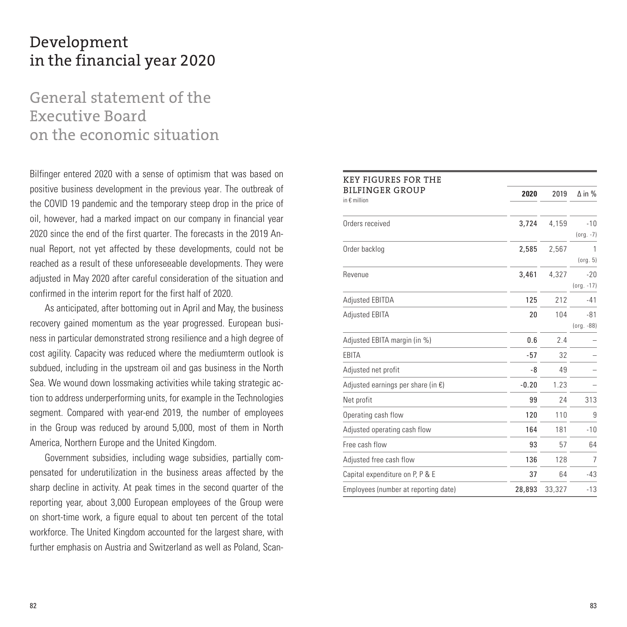# Development in the financial year 2020

# General statement of the Executive Board on the economic situation

Bilfinger entered 2020 with a sense of optimism that was based on positive business development in the previous year. The outbreak of the COVID 19 pandemic and the temporary steep drop in the price of oil, however, had a marked impact on our company in financial year 2020 since the end of the first quarter. The forecasts in the 2019 Annual Report, not yet affected by these developments, could not be reached as a result of these unforeseeable developments. They were adjusted in May 2020 after careful consideration of the situation and confirmed in the interim report for the first half of 2020.

As anticipated, after bottoming out in April and May, the business recovery gained momentum as the year progressed. European business in particular demonstrated strong resilience and a high degree of cost agility. Capacity was reduced where the mediumterm outlook is subdued, including in the upstream oil and gas business in the North Sea. We wound down lossmaking activities while taking strategic action to address underperforming units, for example in the Technologies segment. Compared with year-end 2019, the number of employees in the Group was reduced by around 5,000, most of them in North America, Northern Europe and the United Kingdom.

Government subsidies, including wage subsidies, partially compensated for underutilization in the business areas affected by the sharp decline in activity. At peak times in the second quarter of the reporting year, about 3,000 European employees of the Group were on short-time work, a figure equal to about ten percent of the total workforce. The United Kingdom accounted for the largest share, with further emphasis on Austria and Switzerland as well as Poland, Scan-

| <b>KEY FIGURES FOR THE</b>                      |         |        |                          |
|-------------------------------------------------|---------|--------|--------------------------|
| <b>BILFINGER GROUP</b><br>in $\epsilon$ million | 2020    | 2019   | $\Delta$ in %            |
| Orders received                                 | 3,724   | 4,159  | $-10$<br>$(org. -7)$     |
| Order backlog                                   | 2,585   | 2,567  | 1<br>(org. 5)            |
| Revenue                                         | 3,461   | 4,327  | $-20$<br>$($ org. $-17)$ |
| Adjusted EBITDA                                 | 125     | 212    | $-41$                    |
| Adjusted EBITA                                  | 20      | 104    | $-81$<br>(org. -88)      |
| Adjusted EBITA margin (in %)                    | 0.6     | 2.4    |                          |
| EBITA                                           | $-57$   | 32     |                          |
| Adjusted net profit                             | -8      | 49     |                          |
| Adjusted earnings per share (in $\epsilon$ )    | $-0.20$ | 1.23   |                          |
| Net profit                                      | 99      | 24     | 313                      |
| Operating cash flow                             | 120     | 110    | 9                        |
| Adjusted operating cash flow                    | 164     | 181    | $-10$                    |
| Free cash flow                                  | 93      | 57     | 64                       |
| Adjusted free cash flow                         | 136     | 128    | 7                        |
| Capital expenditure on P, P & E                 | 37      | 64     | $-43$                    |
| Employees (number at reporting date)            | 28,893  | 33,327 | $-13$                    |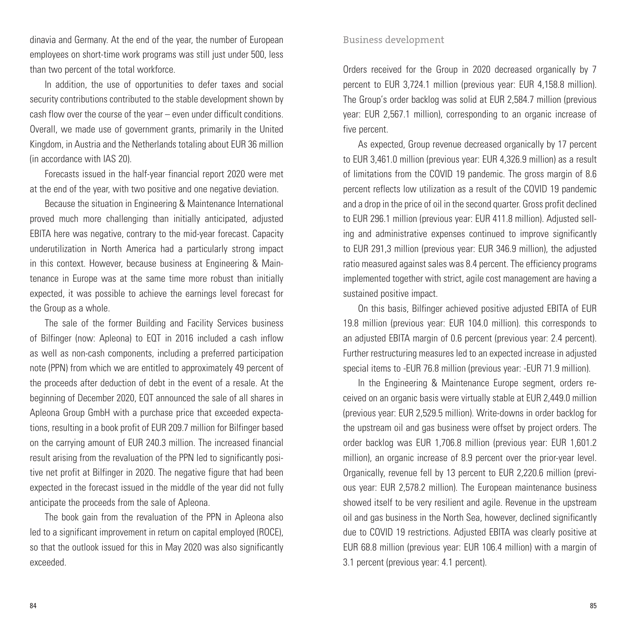dinavia and Germany. At the end of the year, the number of European employees on short-time work programs was still just under 500, less than two percent of the total workforce.

In addition, the use of opportunities to defer taxes and social security contributions contributed to the stable development shown by cash flow over the course of the year – even under difficult conditions. Overall, we made use of government grants, primarily in the United Kingdom, in Austria and the Netherlands totaling about EUR 36 million (in accordance with IAS 20).

Forecasts issued in the half-year financial report 2020 were met at the end of the year, with two positive and one negative deviation.

Because the situation in Engineering & Maintenance International proved much more challenging than initially anticipated, adjusted EBITA here was negative, contrary to the mid-year forecast. Capacity underutilization in North America had a particularly strong impact in this context. However, because business at Engineering & Maintenance in Europe was at the same time more robust than initially expected, it was possible to achieve the earnings level forecast for the Group as a whole.

The sale of the former Building and Facility Services business of Bilfinger (now: Apleona) to EQT in 2016 included a cash inflow as well as non-cash components, including a preferred participation note (PPN) from which we are entitled to approximately 49 percent of the proceeds after deduction of debt in the event of a resale. At the beginning of December 2020, EQT announced the sale of all shares in Apleona Group GmbH with a purchase price that exceeded expectations, resulting in a book profit of EUR 209.7 million for Bilfinger based on the carrying amount of EUR 240.3 million. The increased financial result arising from the revaluation of the PPN led to significantly positive net profit at Bilfinger in 2020. The negative figure that had been expected in the forecast issued in the middle of the year did not fully anticipate the proceeds from the sale of Apleona.

The book gain from the revaluation of the PPN in Apleona also led to a significant improvement in return on capital employed (ROCE), so that the outlook issued for this in May 2020 was also significantly exceeded.

#### Business development

Orders received for the Group in 2020 decreased organically by 7 percent to EUR 3,724.1 million (previous year: EUR 4,158.8 million). The Group's order backlog was solid at EUR 2,584.7 million (previous year: EUR 2,567.1 million), corresponding to an organic increase of five percent.

As expected, Group revenue decreased organically by 17 percent to EUR 3,461.0 million (previous year: EUR 4,326.9 million) as a result of limitations from the COVID 19 pandemic. The gross margin of 8.6 percent reflects low utilization as a result of the COVID 19 pandemic and a drop in the price of oil in the second quarter. Gross profit declined to EUR 296.1 million (previous year: EUR 411.8 million). Adjusted selling and administrative expenses continued to improve significantly to EUR 291,3 million (previous year: EUR 346.9 million), the adjusted ratio measured against sales was 8.4 percent. The efficiency programs implemented together with strict, agile cost management are having a sustained positive impact.

On this basis, Bilfinger achieved positive adjusted EBITA of EUR 19.8 million (previous year: EUR 104.0 million). this corresponds to an adjusted EBITA margin of 0.6 percent (previous year: 2.4 percent). Further restructuring measures led to an expected increase in adjusted special items to -EUR 76.8 million (previous year: -EUR 71.9 million).

In the Engineering & Maintenance Europe segment, orders received on an organic basis were virtually stable at EUR 2,449.0 million (previous year: EUR 2,529.5 million). Write-downs in order backlog for the upstream oil and gas business were offset by project orders. The order backlog was EUR 1,706.8 million (previous year: EUR 1,601.2 million), an organic increase of 8.9 percent over the prior-year level. Organically, revenue fell by 13 percent to EUR 2,220.6 million (previous year: EUR 2,578.2 million). The European maintenance business showed itself to be very resilient and agile. Revenue in the upstream oil and gas business in the North Sea, however, declined significantly due to COVID 19 restrictions. Adjusted EBITA was clearly positive at EUR 68.8 million (previous year: EUR 106.4 million) with a margin of 3.1 percent (previous year: 4.1 percent).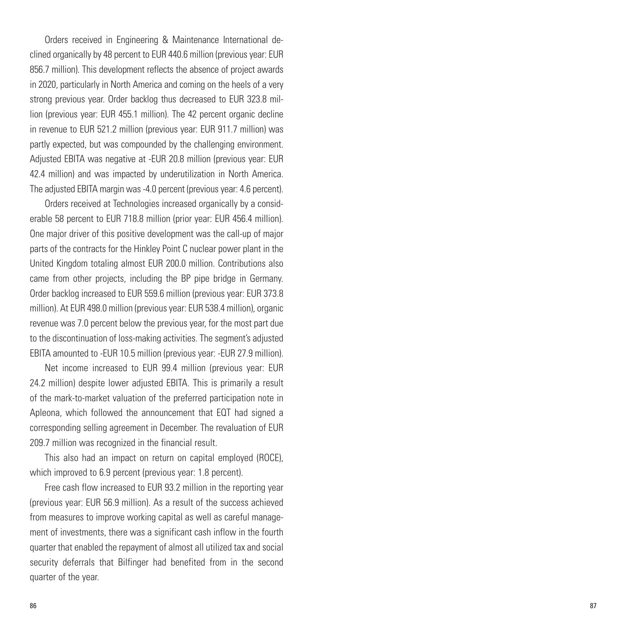Orders received in Engineering & Maintenance International declined organically by 48 percent to EUR 440.6 million (previous year: EUR 856.7 million). This development reflects the absence of project awards in 2020, particularly in North America and coming on the heels of a very strong previous year. Order backlog thus decreased to EUR 323.8 million (previous year: EUR 455.1 million). The 42 percent organic decline in revenue to EUR 521.2 million (previous year: EUR 911.7 million) was partly expected, but was compounded by the challenging environment. Adjusted EBITA was negative at -EUR 20.8 million (previous year: EUR 42.4 million) and was impacted by underutilization in North America. The adjusted EBITA margin was -4.0 percent (previous year: 4.6 percent).

Orders received at Technologies increased organically by a considerable 58 percent to EUR 718.8 million (prior year: EUR 456.4 million). One major driver of this positive development was the call-up of major parts of the contracts for the Hinkley Point C nuclear power plant in the United Kingdom totaling almost EUR 200.0 million. Contributions also came from other projects, including the BP pipe bridge in Germany. Order backlog increased to EUR 559.6 million (previous year: EUR 373.8 million). At EUR 498.0 million (previous year: EUR 538.4 million), organic revenue was 7.0 percent below the previous year, for the most part due to the discontinuation of loss-making activities. The segment's adjusted EBITA amounted to -EUR 10.5 million (previous year: -EUR 27.9 million).

Net income increased to EUR 99.4 million (previous year: EUR 24.2 million) despite lower adjusted EBITA. This is primarily a result of the mark-to-market valuation of the preferred participation note in Apleona, which followed the announcement that EQT had signed a corresponding selling agreement in December. The revaluation of EUR 209.7 million was recognized in the financial result.

This also had an impact on return on capital employed (ROCE), which improved to 6.9 percent (previous year: 1.8 percent).

Free cash flow increased to EUR 93.2 million in the reporting year (previous year: EUR 56.9 million). As a result of the success achieved from measures to improve working capital as well as careful management of investments, there was a significant cash inflow in the fourth quarter that enabled the repayment of almost all utilized tax and social security deferrals that Bilfinger had benefited from in the second quarter of the year.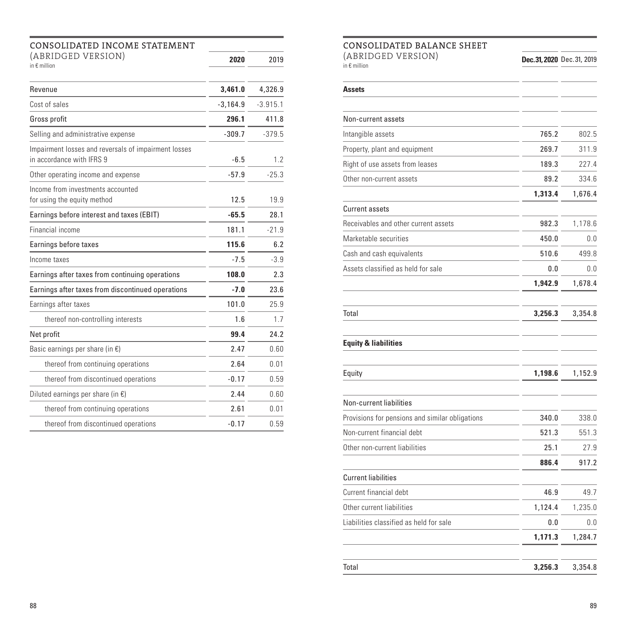| CONSOLIDATED INCOME STATEMENT                                                     |            |            |  |
|-----------------------------------------------------------------------------------|------------|------------|--|
| (ABRIDGED VERSION)<br>in $\epsilon$ million                                       | 2020       | 2019       |  |
| Revenue                                                                           | 3,461.0    | 4,326.9    |  |
| Cost of sales                                                                     | $-3,164.9$ | $-3.915.1$ |  |
| Gross profit                                                                      | 296.1      | 411.8      |  |
| Selling and administrative expense                                                | $-309.7$   | $-379.5$   |  |
| Impairment losses and reversals of impairment losses<br>in accordance with IFRS 9 | $-6.5$     | 1.2        |  |
| Other operating income and expense                                                | $-57.9$    | $-25.3$    |  |
| Income from investments accounted<br>for using the equity method                  | 12.5       | 19.9       |  |
| Earnings before interest and taxes (EBIT)                                         | $-65.5$    | 28.1       |  |
| Financial income                                                                  | 181.1      | $-21.9$    |  |
| Earnings before taxes                                                             | 115.6      | 6.2        |  |
| Income taxes                                                                      | $-7.5$     | $-3.9$     |  |
| Earnings after taxes from continuing operations                                   | 108.0      | 2.3        |  |
| Earnings after taxes from discontinued operations                                 | $-7.0$     | 23.6       |  |
| Earnings after taxes                                                              | 101.0      | 25.9       |  |
| thereof non-controlling interests                                                 | 1.6        | 1.7        |  |
| Net profit                                                                        | 99.4       | 24.2       |  |
| Basic earnings per share (in $\epsilon$ )                                         | 2.47       | 0.60       |  |
| thereof from continuing operations                                                | 2.64       | 0.01       |  |
| thereof from discontinued operations                                              | $-0.17$    | 0.59       |  |
| Diluted earnings per share (in $\epsilon$ )                                       | 2.44       | 0.60       |  |
| thereof from continuing operations                                                | 2.61       | 0.01       |  |
| thereof from discontinued operations                                              | $-0.17$    | 0.59       |  |

## CONSOLIDATED BALANCE SHEET

| <b>INDULIDAI E</b><br>U DALANCE ƏNEEI           |         |                           |
|-------------------------------------------------|---------|---------------------------|
| (ABRIDGED VERSION)<br>in $\epsilon$ million     |         | Dec.31, 2020 Dec.31, 2019 |
|                                                 |         |                           |
| Assets                                          |         |                           |
| Non-current assets                              |         |                           |
| Intangible assets                               | 765.2   | 802.5                     |
| Property, plant and equipment                   | 269.7   | 311.9                     |
| Right of use assets from leases                 | 189.3   | 227.4                     |
| Other non-current assets                        | 89.2    | 334.6                     |
|                                                 | 1,313.4 | 1,676.4                   |
| Current assets                                  |         |                           |
| Receivables and other current assets            | 982.3   | 1,178.6                   |
| Marketable securities                           | 450.0   | 0.0                       |
| Cash and cash equivalents                       | 510.6   | 499.8                     |
| Assets classified as held for sale              | 0.0     | 0.0                       |
|                                                 | 1,942.9 | 1,678.4                   |
| Total                                           | 3,256.3 | 3,354.8                   |
| <b>Equity &amp; liabilities</b>                 |         |                           |
| Equity                                          | 1,198.6 | 1,152.9                   |
| Non-current liabilities                         |         |                           |
| Provisions for pensions and similar obligations | 340.0   | 338.0                     |
| Non-current financial debt                      | 521.3   | 551.3                     |
| Other non-current liabilities                   | 25.1    | 27.9                      |
|                                                 | 886.4   | 917.2                     |
| <b>Current liabilities</b>                      |         |                           |
| Current financial debt                          | 46.9    | 49.7                      |
| Other current liabilities                       | 1,124.4 | 1,235.0                   |
| Liabilities classified as held for sale         | 0.0     | 0.0                       |
|                                                 | 1,171.3 | 1,284.7                   |

| Total | 3,256.3 3,354.8 |
|-------|-----------------|
|       |                 |

 $\overline{a}$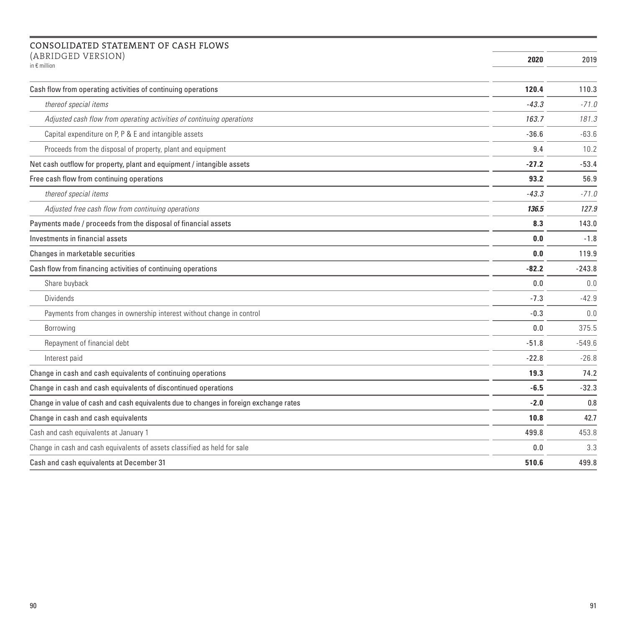#### CONSOLIDATED STATEMENT OF CASH FLOWS (ABRIDGED VERSION)

| (ADNIDULID VERJIUN)<br>in $\epsilon$ million                                          | 2020    | 2019     |
|---------------------------------------------------------------------------------------|---------|----------|
| Cash flow from operating activities of continuing operations                          | 120.4   | 110.3    |
| thereof special items                                                                 | $-43.3$ | $-71.0$  |
| Adjusted cash flow from operating activities of continuing operations                 | 163.7   | 181.3    |
| Capital expenditure on P, P & E and intangible assets                                 | $-36.6$ | $-63.6$  |
| Proceeds from the disposal of property, plant and equipment                           | 9.4     | 10.2     |
| Net cash outflow for property, plant and equipment / intangible assets                | $-27.2$ | $-53.4$  |
| Free cash flow from continuing operations                                             | 93.2    | 56.9     |
| thereof special items                                                                 | $-43.3$ | $-71.0$  |
| Adjusted free cash flow from continuing operations                                    | 136.5   | 127.9    |
| Payments made / proceeds from the disposal of financial assets                        | 8.3     | 143.0    |
| Investments in financial assets                                                       | 0.0     | $-1.8$   |
| Changes in marketable securities                                                      | 0.0     | 119.9    |
| Cash flow from financing activities of continuing operations                          | $-82.2$ | $-243.8$ |
| Share buyback                                                                         | 0.0     | 0.0      |
| <b>Dividends</b>                                                                      | $-7.3$  | $-42.9$  |
| Payments from changes in ownership interest without change in control                 | $-0.3$  | 0.0      |
| Borrowing                                                                             | 0.0     | 375.5    |
| Repayment of financial debt                                                           | $-51.8$ | $-549.6$ |
| Interest paid                                                                         | $-22.8$ | $-26.8$  |
| Change in cash and cash equivalents of continuing operations                          | 19.3    | 74.2     |
| Change in cash and cash equivalents of discontinued operations                        | -6.5    | $-32.3$  |
| Change in value of cash and cash equivalents due to changes in foreign exchange rates | $-2.0$  | 0.8      |
| Change in cash and cash equivalents                                                   | 10.8    | 42.7     |
| Cash and cash equivalents at January 1                                                | 499.8   | 453.8    |
| Change in cash and cash equivalents of assets classified as held for sale             | 0.0     | 3.3      |
| Cash and cash equivalents at December 31                                              | 510.6   | 499.8    |

**College**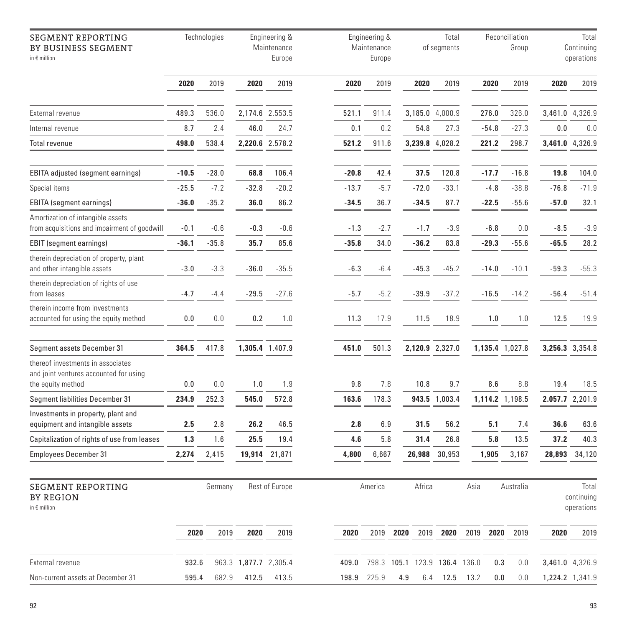| <b>SEGMENT REPORTING</b><br>BY BUSINESS SEGMENT<br>in € million                                  | Technologies |         |                       | Engineering &<br>Maintenance<br>Europe | Engineering &<br>Maintenance<br>Europe |         |      | Total<br>of segments |                               |      | Reconciliation<br>Group |                 |         | Total<br>Continuing<br>operations |  |
|--------------------------------------------------------------------------------------------------|--------------|---------|-----------------------|----------------------------------------|----------------------------------------|---------|------|----------------------|-------------------------------|------|-------------------------|-----------------|---------|-----------------------------------|--|
|                                                                                                  | 2020         | 2019    | 2020                  | 2019                                   | 2020                                   | 2019    |      | 2020                 | 2019                          |      | 2020                    | 2019            | 2020    | 2019                              |  |
| External revenue                                                                                 | 489.3        | 536.0   |                       | 2,174.6 2.553.5                        | 521.1                                  | 911.4   |      |                      | 3,185.0 4,000.9               |      | 276.0                   | 326.0           |         | 3,461.0 4,326.9                   |  |
| Internal revenue                                                                                 | 8.7          | 2.4     | 46.0                  | 24.7                                   | 0.1                                    | 0.2     |      | 54.8                 | 27.3                          |      | $-54.8$                 | $-27.3$         | 0.0     | 0.0                               |  |
| <b>Total revenue</b>                                                                             | 498.0        | 538.4   |                       | 2,220.6 2.578.2                        | 521.2                                  | 911.6   |      |                      | 3,239.8 4,028.2               |      | 221.2                   | 298.7           |         | 3,461.0 4,326.9                   |  |
| EBITA adjusted (segment earnings)                                                                | $-10.5$      | $-28.0$ | 68.8                  | 106.4                                  | $-20.8$                                | 42.4    |      | 37.5                 | 120.8                         |      | $-17.7$                 | $-16.8$         | 19.8    | 104.0                             |  |
| Special items                                                                                    | $-25.5$      | $-7.2$  | $-32.8$               | $-20.2$                                | $-13.7$                                | $-5.7$  |      | $-72.0$              | $-33.1$                       |      | $-4.8$                  | $-38.8$         | $-76.8$ | $-71.9$                           |  |
| <b>EBITA</b> (segment earnings)                                                                  | $-36.0$      | $-35.2$ | 36.0                  | 86.2                                   | $-34.5$                                | 36.7    |      | $-34.5$              | 87.7                          |      | $-22.5$                 | $-55.6$         | $-57.0$ | 32.1                              |  |
| Amortization of intangible assets<br>from acquisitions and impairment of goodwill                | $-0.1$       | $-0.6$  | $-0.3$                | $-0.6$                                 | $-1.3$                                 | $-2.7$  |      | $-1.7$               | $-3.9$                        |      | $-6.8$                  | 0.0             | $-8.5$  | $-3.9$                            |  |
| <b>EBIT</b> (segment earnings)                                                                   | $-36.1$      | $-35.8$ | 35.7                  | 85.6                                   | $-35.8$                                | 34.0    |      | $-36.2$              | 83.8                          |      | $-29.3$                 | $-55.6$         | $-65.5$ | 28.2                              |  |
| therein depreciation of property, plant<br>and other intangible assets                           | $-3.0$       | $-3.3$  | $-36.0$               | $-35.5$                                | $-6.3$                                 | $-6.4$  |      | $-45.3$              | $-45.2$                       |      | $-14.0$                 | $-10.1$         | $-59.3$ | $-55.3$                           |  |
| therein depreciation of rights of use<br>from leases                                             | $-4.7$       | $-4.4$  | $-29.5$               | $-27.6$                                | $-5.7$                                 | $-5.2$  |      | $-39.9$              | $-37.2$                       |      | $-16.5$                 | $-14.2$         | $-56.4$ | $-51.4$                           |  |
| therein income from investments<br>accounted for using the equity method                         | 0.0          | 0.0     | 0.2                   | 1.0                                    | 11.3                                   | 17.9    |      | 11.5                 | 18.9                          |      | 1.0                     | 1.0             | 12.5    | 19.9                              |  |
| Segment assets December 31                                                                       | 364.5        | 417.8   |                       | 1,305.4 1.407.9                        | 451.0                                  | 501.3   |      |                      | 2,120.9 2,327.0               |      |                         | 1,135.4 1,027.8 |         | 3,256.3 3,354.8                   |  |
| thereof investments in associates<br>and joint ventures accounted for using<br>the equity method | 0.0          | 0.0     | 1.0                   | 1.9                                    | 9.8                                    | 7.8     |      | 10.8                 | 9.7                           |      | 8.6                     | 8.8             | 19.4    | 18.5                              |  |
| Segment liabilities December 31                                                                  | 234.9        | 252.3   | 545.0                 | 572.8                                  | 163.6                                  | 178.3   |      |                      | 943.5 1,003.4                 |      |                         | 1,114.2 1,198.5 |         | 2.057.7 2,201.9                   |  |
| Investments in property, plant and<br>equipment and intangible assets                            | 2.5          | 2.8     | 26.2                  | 46.5                                   | 2.8                                    | 6.9     |      | 31.5                 | 56.2                          |      | 5.1                     | 7.4             | 36.6    | 63.6                              |  |
| Capitalization of rights of use from leases                                                      | 1.3          | 1.6     | 25.5                  | 19.4                                   | 4.6                                    | 5.8     |      | 31.4                 | 26.8                          |      | 5.8                     | 13.5            | 37.2    | 40.3                              |  |
| <b>Employees December 31</b>                                                                     | 2,274        | 2,415   |                       | 19,914 21,871                          | 4,800                                  | 6,667   |      | 26,988               | 30,953                        |      | 1,905                   | 3,167           | 28,893  | 34,120                            |  |
| <b>SEGMENT REPORTING</b><br>BY REGION<br>in $\epsilon$ million                                   |              | Germany |                       | Rest of Europe                         |                                        | America |      | Africa               |                               | Asia |                         | Australia       |         | Total<br>continuing<br>operations |  |
|                                                                                                  | 2020         | 2019    | 2020                  | 2019                                   | 2020                                   | 2019    | 2020 |                      | 2019 2020 2019                |      | 2020                    | 2019            | 2020    | 2019                              |  |
| External revenue                                                                                 | 932.6        |         | 963.3 1,877.7 2,305.4 |                                        | 409.0                                  |         |      |                      | 798.3 105.1 123.9 136.4 136.0 |      | 0.3                     | 0.0             |         | 3,461.0 4,326.9                   |  |
| Non-current assets at December 31                                                                | 595.4        | 682.9   | 412.5                 | 413.5                                  | 198.9                                  | 225.9   | 4.9  | 6.4                  | 12.5                          | 13.2 | 0.0                     | 0.0             |         | 1,224.2 1,341.9                   |  |